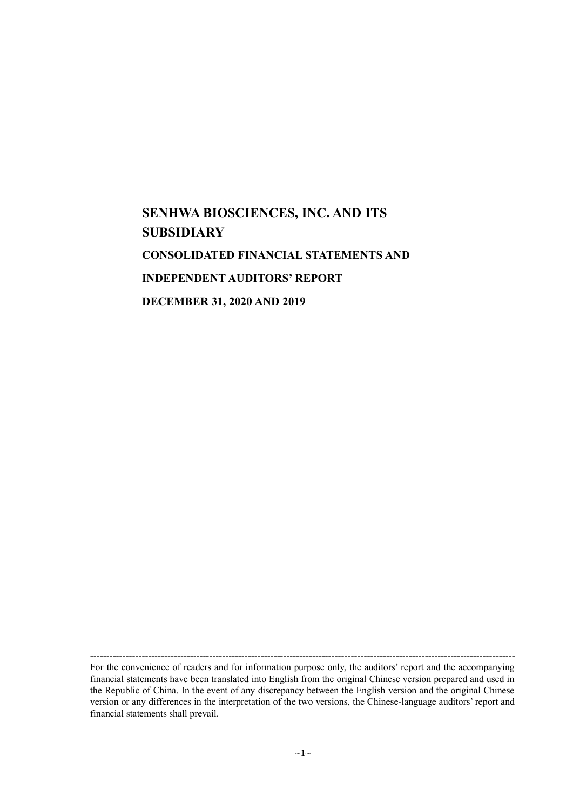# **SENHWA BIOSCIENCES, INC. AND ITS SUBSIDIARY CONSOLIDATED FINANCIAL STATEMENTS AND INDEPENDENT AUDITORS' REPORT DECEMBER 31, 2020 AND 2019**

------------------------------------------------------------------------------------------------------------------------------------

For the convenience of readers and for information purpose only, the auditors' report and the accompanying financial statements have been translated into English from the original Chinese version prepared and used in the Republic of China. In the event of any discrepancy between the English version and the original Chinese version or any differences in the interpretation of the two versions, the Chinese-language auditors' report and financial statements shall prevail.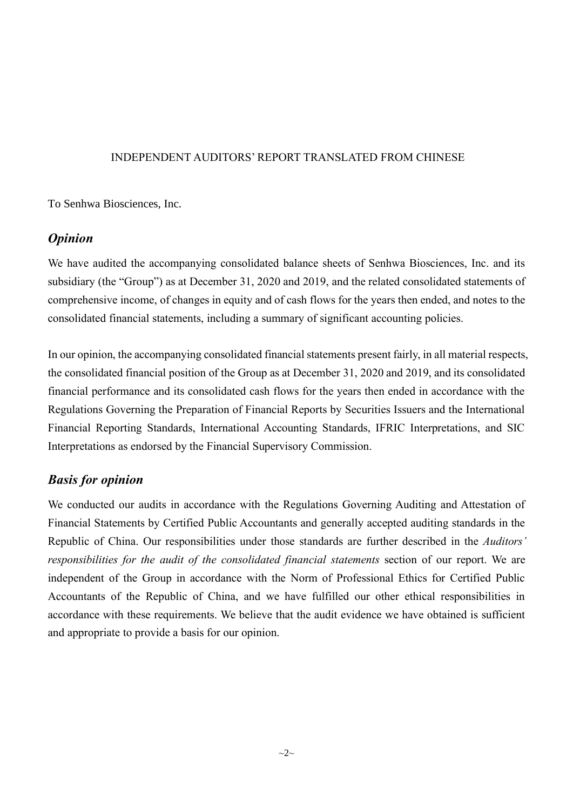#### INDEPENDENT AUDITORS' REPORT TRANSLATED FROM CHINESE

To Senhwa Biosciences, Inc.

## *Opinion*

We have audited the accompanying consolidated balance sheets of Senhwa Biosciences, Inc. and its subsidiary (the "Group") as at December 31, 2020 and 2019, and the related consolidated statements of comprehensive income, of changes in equity and of cash flows for the years then ended, and notes to the consolidated financial statements, including a summary of significant accounting policies.

In our opinion, the accompanying consolidated financial statements present fairly, in all material respects, the consolidated financial position of the Group as at December 31, 2020 and 2019, and its consolidated financial performance and its consolidated cash flows for the years then ended in accordance with the Regulations Governing the Preparation of Financial Reports by Securities Issuers and the International Financial Reporting Standards, International Accounting Standards, IFRIC Interpretations, and SIC Interpretations as endorsed by the Financial Supervisory Commission.

## *Basis for opinion*

We conducted our audits in accordance with the Regulations Governing Auditing and Attestation of Financial Statements by Certified Public Accountants and generally accepted auditing standards in the Republic of China. Our responsibilities under those standards are further described in the *Auditors' responsibilities for the audit of the consolidated financial statements* section of our report. We are independent of the Group in accordance with the Norm of Professional Ethics for Certified Public Accountants of the Republic of China, and we have fulfilled our other ethical responsibilities in accordance with these requirements. We believe that the audit evidence we have obtained is sufficient and appropriate to provide a basis for our opinion.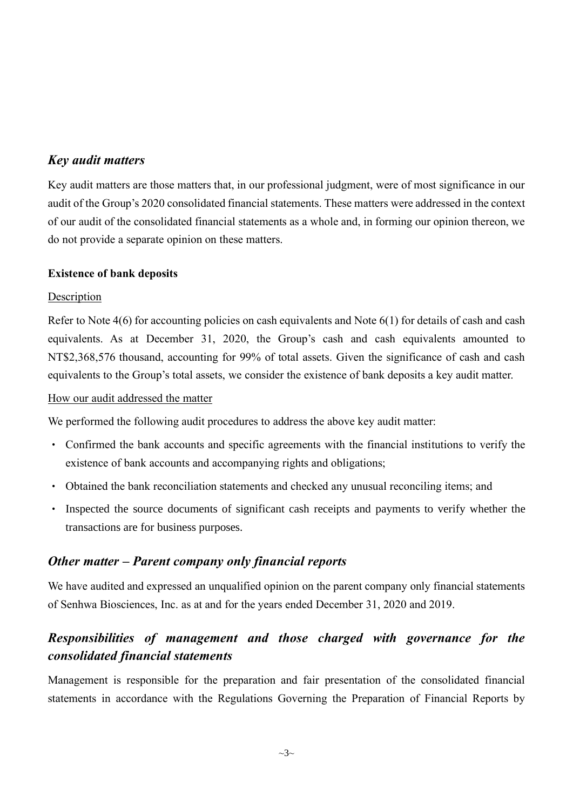## *Key audit matters*

Key audit matters are those matters that, in our professional judgment, were of most significance in our audit of the Group's 2020 consolidated financial statements. These matters were addressed in the context of our audit of the consolidated financial statements as a whole and, in forming our opinion thereon, we do not provide a separate opinion on these matters.

#### **Existence of bank deposits**

#### **Description**

Refer to Note 4(6) for accounting policies on cash equivalents and Note 6(1) for details of cash and cash equivalents. As at December 31, 2020, the Group's cash and cash equivalents amounted to NT\$2,368,576 thousand, accounting for 99% of total assets. Given the significance of cash and cash equivalents to the Group's total assets, we consider the existence of bank deposits a key audit matter.

#### How our audit addressed the matter

We performed the following audit procedures to address the above key audit matter:

- ‧ Confirmed the bank accounts and specific agreements with the financial institutions to verify the existence of bank accounts and accompanying rights and obligations;
- ‧ Obtained the bank reconciliation statements and checked any unusual reconciling items; and
- ‧ Inspected the source documents of significant cash receipts and payments to verify whether the transactions are for business purposes.

## *Other matter – Parent company only financial reports*

We have audited and expressed an unqualified opinion on the parent company only financial statements of Senhwa Biosciences, Inc. as at and for the years ended December 31, 2020 and 2019.

## *Responsibilities of management and those charged with governance for the consolidated financial statements*

Management is responsible for the preparation and fair presentation of the consolidated financial statements in accordance with the Regulations Governing the Preparation of Financial Reports by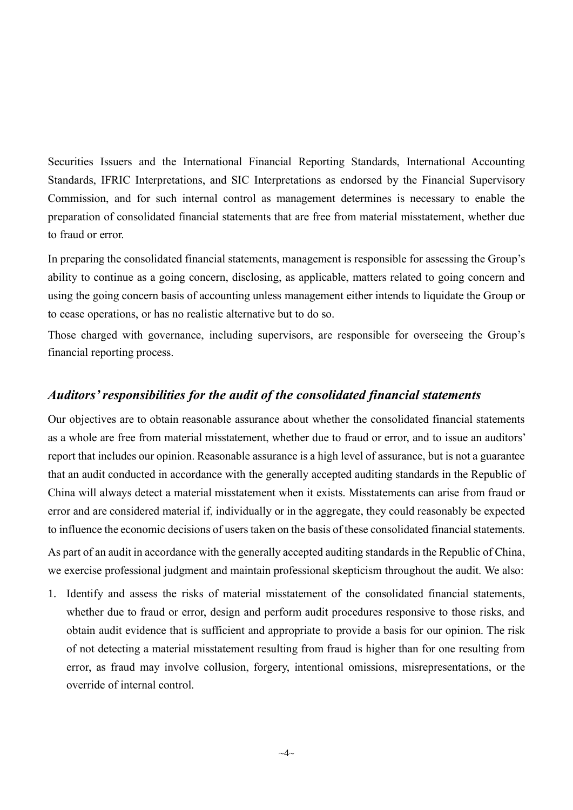Securities Issuers and the International Financial Reporting Standards, International Accounting Standards, IFRIC Interpretations, and SIC Interpretations as endorsed by the Financial Supervisory Commission, and for such internal control as management determines is necessary to enable the preparation of consolidated financial statements that are free from material misstatement, whether due to fraud or error.

In preparing the consolidated financial statements, management is responsible for assessing the Group's ability to continue as a going concern, disclosing, as applicable, matters related to going concern and using the going concern basis of accounting unless management either intends to liquidate the Group or to cease operations, or has no realistic alternative but to do so.

Those charged with governance, including supervisors, are responsible for overseeing the Group's financial reporting process.

### *Auditors' responsibilities for the audit of the consolidated financial statements*

Our objectives are to obtain reasonable assurance about whether the consolidated financial statements as a whole are free from material misstatement, whether due to fraud or error, and to issue an auditors' report that includes our opinion. Reasonable assurance is a high level of assurance, but is not a guarantee that an audit conducted in accordance with the generally accepted auditing standards in the Republic of China will always detect a material misstatement when it exists. Misstatements can arise from fraud or error and are considered material if, individually or in the aggregate, they could reasonably be expected to influence the economic decisions of users taken on the basis of these consolidated financial statements.

As part of an audit in accordance with the generally accepted auditing standards in the Republic of China, we exercise professional judgment and maintain professional skepticism throughout the audit. We also:

1. Identify and assess the risks of material misstatement of the consolidated financial statements, whether due to fraud or error, design and perform audit procedures responsive to those risks, and obtain audit evidence that is sufficient and appropriate to provide a basis for our opinion. The risk of not detecting a material misstatement resulting from fraud is higher than for one resulting from error, as fraud may involve collusion, forgery, intentional omissions, misrepresentations, or the override of internal control.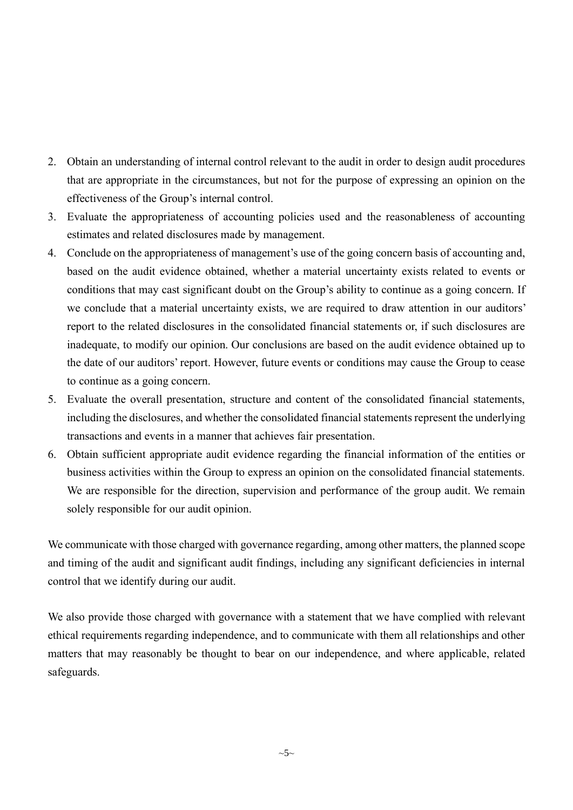- 2. Obtain an understanding of internal control relevant to the audit in order to design audit procedures that are appropriate in the circumstances, but not for the purpose of expressing an opinion on the effectiveness of the Group's internal control.
- 3. Evaluate the appropriateness of accounting policies used and the reasonableness of accounting estimates and related disclosures made by management.
- 4. Conclude on the appropriateness of management's use of the going concern basis of accounting and, based on the audit evidence obtained, whether a material uncertainty exists related to events or conditions that may cast significant doubt on the Group's ability to continue as a going concern. If we conclude that a material uncertainty exists, we are required to draw attention in our auditors' report to the related disclosures in the consolidated financial statements or, if such disclosures are inadequate, to modify our opinion. Our conclusions are based on the audit evidence obtained up to the date of our auditors' report. However, future events or conditions may cause the Group to cease to continue as a going concern.
- 5. Evaluate the overall presentation, structure and content of the consolidated financial statements, including the disclosures, and whether the consolidated financial statements represent the underlying transactions and events in a manner that achieves fair presentation.
- 6. Obtain sufficient appropriate audit evidence regarding the financial information of the entities or business activities within the Group to express an opinion on the consolidated financial statements. We are responsible for the direction, supervision and performance of the group audit. We remain solely responsible for our audit opinion.

We communicate with those charged with governance regarding, among other matters, the planned scope and timing of the audit and significant audit findings, including any significant deficiencies in internal control that we identify during our audit.

We also provide those charged with governance with a statement that we have complied with relevant ethical requirements regarding independence, and to communicate with them all relationships and other matters that may reasonably be thought to bear on our independence, and where applicable, related safeguards.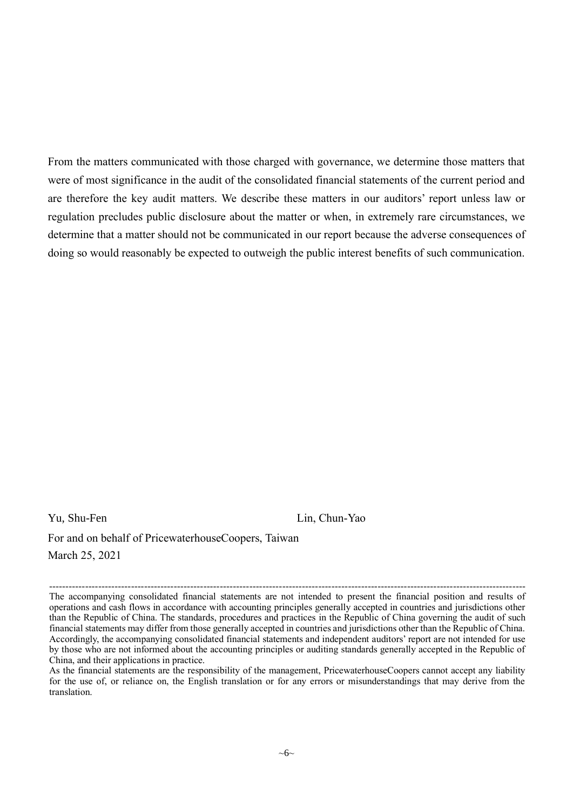From the matters communicated with those charged with governance, we determine those matters that were of most significance in the audit of the consolidated financial statements of the current period and are therefore the key audit matters. We describe these matters in our auditors' report unless law or regulation precludes public disclosure about the matter or when, in extremely rare circumstances, we determine that a matter should not be communicated in our report because the adverse consequences of doing so would reasonably be expected to outweigh the public interest benefits of such communication.

Yu, Shu-Fen Lin, Chun-Yao

For and on behalf of PricewaterhouseCoopers, Taiwan March 25, 2021

<sup>-------------------------------------------------------------------------------------------------------------------------------------------------</sup> The accompanying consolidated financial statements are not intended to present the financial position and results of operations and cash flows in accordance with accounting principles generally accepted in countries and jurisdictions other than the Republic of China. The standards, procedures and practices in the Republic of China governing the audit of such financial statements may differ from those generally accepted in countries and jurisdictions other than the Republic of China. Accordingly, the accompanying consolidated financial statements and independent auditors' report are not intended for use by those who are not informed about the accounting principles or auditing standards generally accepted in the Republic of China, and their applications in practice.

As the financial statements are the responsibility of the management, PricewaterhouseCoopers cannot accept any liability for the use of, or reliance on, the English translation or for any errors or misunderstandings that may derive from the translation.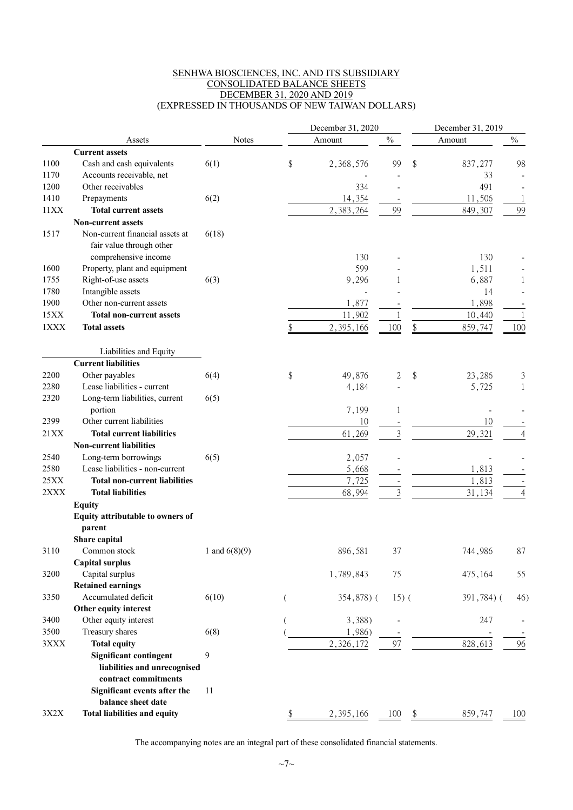#### SENHWA BIOSCIENCES, INC. AND ITS SUBSIDIARY CONSOLIDATED BALANCE SHEETS DECEMBER 31, 2020 AND 2019 (EXPRESSED IN THOUSANDS OF NEW TAIWAN DOLLARS)

|      |                                                                                     |                 |    | December 31, 2020 |               | December 31, 2019 |      |  |
|------|-------------------------------------------------------------------------------------|-----------------|----|-------------------|---------------|-------------------|------|--|
|      | Assets                                                                              | <b>Notes</b>    |    | Amount            | $\frac{0}{0}$ | Amount            | $\%$ |  |
|      | <b>Current assets</b>                                                               |                 |    |                   |               |                   |      |  |
| 1100 | Cash and cash equivalents                                                           | 6(1)            | \$ | 2,368,576         | 99            | \$<br>837,277     | 98   |  |
| 1170 | Accounts receivable, net                                                            |                 |    |                   |               | 33                |      |  |
| 1200 | Other receivables                                                                   |                 |    | 334               |               | 491               |      |  |
| 1410 | Prepayments                                                                         | 6(2)            |    | 14,354            |               | 11,506            |      |  |
| 11XX | <b>Total current assets</b>                                                         |                 |    | 2,383,264         | 99            | 849,307           | 99   |  |
|      | <b>Non-current assets</b>                                                           |                 |    |                   |               |                   |      |  |
| 1517 | Non-current financial assets at<br>fair value through other<br>comprehensive income | 6(18)           |    | 130               |               | 130               |      |  |
| 1600 | Property, plant and equipment                                                       |                 |    | 599               |               | 1,511             |      |  |
| 1755 | Right-of-use assets                                                                 | 6(3)            |    | 9,296             |               | 6,887             |      |  |
| 1780 | Intangible assets                                                                   |                 |    |                   |               | 14                |      |  |
| 1900 | Other non-current assets                                                            |                 |    | 1,877             |               | 1,898             |      |  |
| 15XX | <b>Total non-current assets</b>                                                     |                 |    | 11,902            |               | 10,440            |      |  |
| 1XXX | <b>Total assets</b>                                                                 |                 | \$ | 2,395,166         | 100           | \$<br>859,747     | 100  |  |
|      |                                                                                     |                 |    |                   |               |                   |      |  |
|      | Liabilities and Equity                                                              |                 |    |                   |               |                   |      |  |
|      | <b>Current liabilities</b>                                                          |                 |    |                   |               |                   |      |  |
| 2200 | Other payables                                                                      | 6(4)            | \$ | 49,876            | $\mathbf{2}$  | \$<br>23,286      | 3    |  |
| 2280 | Lease liabilities - current                                                         |                 |    | 4,184             |               | 5,725             | 1    |  |
| 2320 | Long-term liabilities, current                                                      | 6(5)            |    |                   |               |                   |      |  |
|      | portion                                                                             |                 |    | 7,199             | 1             |                   |      |  |
| 2399 | Other current liabilities                                                           |                 |    | 10                |               | 10                |      |  |
| 21XX | <b>Total current liabilities</b>                                                    |                 |    | 61,269            | 3             | 29,321            | 4    |  |
|      | <b>Non-current liabilities</b>                                                      |                 |    |                   |               |                   |      |  |
| 2540 | Long-term borrowings                                                                | 6(5)            |    | 2,057             |               |                   |      |  |
| 2580 | Lease liabilities - non-current                                                     |                 |    | 5,668             |               | 1,813             |      |  |
| 25XX | <b>Total non-current liabilities</b>                                                |                 |    | 7,725             |               | 1,813             |      |  |
| 2XXX | <b>Total liabilities</b>                                                            |                 |    | 68,994            | 3             | 31,134            | 4    |  |
|      | <b>Equity</b>                                                                       |                 |    |                   |               |                   |      |  |
|      | Equity attributable to owners of                                                    |                 |    |                   |               |                   |      |  |
|      | parent                                                                              |                 |    |                   |               |                   |      |  |
|      | Share capital                                                                       |                 |    |                   |               |                   |      |  |
| 3110 | Common stock                                                                        | 1 and $6(8)(9)$ |    | 896,581           | 37            | 744,986           | 87   |  |
|      | <b>Capital surplus</b>                                                              |                 |    |                   |               |                   |      |  |
| 3200 | Capital surplus                                                                     |                 |    | 1,789,843         | 75            | 475,164           | 55   |  |
|      | <b>Retained earnings</b>                                                            |                 |    |                   |               |                   |      |  |
| 3350 | Accumulated deficit                                                                 | 6(10)           | (  | 354,878)(         | $15)$ (       | 391,784) (        | 46)  |  |
|      | Other equity interest                                                               |                 |    |                   |               |                   |      |  |
| 3400 | Other equity interest                                                               |                 |    | 3,388)            |               | 247               |      |  |
| 3500 | Treasury shares                                                                     | 6(8)            |    | 1,986)            |               |                   |      |  |
| 3XXX | <b>Total equity</b>                                                                 |                 |    | 2,326,172         | 97            | 828,613           | 96   |  |
|      | <b>Significant contingent</b>                                                       | 9               |    |                   |               |                   |      |  |
|      | liabilities and unrecognised                                                        |                 |    |                   |               |                   |      |  |
|      | contract commitments                                                                |                 |    |                   |               |                   |      |  |
|      | Significant events after the                                                        | 11              |    |                   |               |                   |      |  |
|      | balance sheet date                                                                  |                 |    |                   |               |                   |      |  |
| 3X2X | <b>Total liabilities and equity</b>                                                 |                 | \$ | 2,395,166         | 100           | \$<br>859,747     | 100  |  |
|      |                                                                                     |                 |    |                   |               |                   |      |  |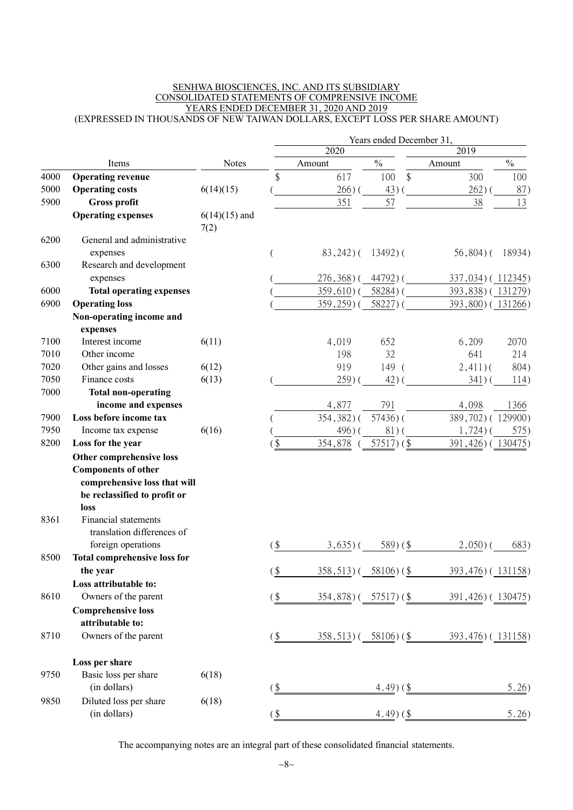#### SENHWA BIOSCIENCES, INC. AND ITS SUBSIDIARY CONSOLIDATED STATEMENTS OF COMPRENSIVE INCOME YEARS ENDED DECEMBER 31, 2020 AND 2019 (EXPRESSED IN THOUSANDS OF NEW TAIWAN DOLLARS, EXCEPT LOSS PER SHARE AMOUNT)

|      |                                                              |                         | Years ended December 31,   |                       |                             |                    |               |  |  |  |  |
|------|--------------------------------------------------------------|-------------------------|----------------------------|-----------------------|-----------------------------|--------------------|---------------|--|--|--|--|
|      |                                                              |                         |                            | 2020                  |                             | 2019               |               |  |  |  |  |
|      | Items                                                        | <b>Notes</b>            |                            | Amount                | $\frac{0}{0}$               | Amount             | $\frac{0}{0}$ |  |  |  |  |
| 4000 | <b>Operating revenue</b>                                     |                         | \$                         | 617                   | \$<br>100                   | 300                | 100           |  |  |  |  |
| 5000 | <b>Operating costs</b>                                       | 6(14)(15)               |                            | $266)$ (              | 43)                         | 262)               | 87)           |  |  |  |  |
| 5900 | <b>Gross profit</b>                                          |                         |                            | 351                   | 57                          | 38                 | 13            |  |  |  |  |
|      | <b>Operating expenses</b>                                    | $6(14)(15)$ and<br>7(2) |                            |                       |                             |                    |               |  |  |  |  |
| 6200 | General and administrative<br>expenses                       |                         |                            | $83,242$ ) (          | $13492$ ) (                 | $56,804$ ) (       | 18934)        |  |  |  |  |
| 6300 | Research and development                                     |                         |                            |                       |                             |                    |               |  |  |  |  |
|      | expenses                                                     |                         |                            | $276,368$ ) (         | 44792)(                     | 337,034) (112345)  |               |  |  |  |  |
| 6000 | <b>Total operating expenses</b>                              |                         |                            | 359,610)              | 58284)(                     | 393,838) (131279)  |               |  |  |  |  |
| 6900 | <b>Operating loss</b>                                        |                         |                            | $359,259$ )(          | 58227)(                     | 393,800) (131266)  |               |  |  |  |  |
|      | Non-operating income and                                     |                         |                            |                       |                             |                    |               |  |  |  |  |
|      | expenses                                                     |                         |                            |                       |                             |                    |               |  |  |  |  |
| 7100 | Interest income                                              | 6(11)                   |                            | 4,019                 | 652                         | 6,209              | 2070          |  |  |  |  |
| 7010 | Other income                                                 |                         |                            | 198                   | 32                          | 641                | 214           |  |  |  |  |
| 7020 | Other gains and losses                                       | 6(12)                   |                            | 919                   | 149<br>$\sqrt{ }$           | $2,411$ )(         | 804)          |  |  |  |  |
| 7050 | Finance costs                                                | 6(13)                   |                            | 259(                  | 42)                         | $341)$ (           | 114)          |  |  |  |  |
| 7000 | <b>Total non-operating</b><br>income and expenses            |                         |                            |                       |                             |                    |               |  |  |  |  |
| 7900 | Loss before income tax                                       |                         |                            | 4,877                 | 791                         | 4,098              | 1366          |  |  |  |  |
| 7950 |                                                              | 6(16)                   |                            | 354,382)(<br>496)     | $57436$ ) (                 | 389,702) (129900)  |               |  |  |  |  |
| 8200 | Income tax expense<br>Loss for the year                      |                         | $\mathfrak{F}$             | 354,878               | $81)$ (<br>$57517$ ) $($ \$ | $1,724$ $($        | 575)          |  |  |  |  |
|      |                                                              |                         |                            |                       |                             | 391, 426) (130475) |               |  |  |  |  |
|      | Other comprehensive loss                                     |                         |                            |                       |                             |                    |               |  |  |  |  |
|      | <b>Components of other</b>                                   |                         |                            |                       |                             |                    |               |  |  |  |  |
|      | comprehensive loss that will<br>be reclassified to profit or |                         |                            |                       |                             |                    |               |  |  |  |  |
|      | loss                                                         |                         |                            |                       |                             |                    |               |  |  |  |  |
| 8361 | <b>Financial statements</b>                                  |                         |                            |                       |                             |                    |               |  |  |  |  |
|      | translation differences of                                   |                         |                            |                       |                             |                    |               |  |  |  |  |
|      | foreign operations                                           |                         | $($ \$                     | $3,635$ ) (           | 589 $)($ \$                 | $2,050$ ) (        | 683)          |  |  |  |  |
| 8500 | <b>Total comprehensive loss for</b>                          |                         |                            |                       |                             |                    |               |  |  |  |  |
|      | the year                                                     |                         | <u>(\$</u>                 | 358,513)(             | $58106$ ) (\$               | 393,476) (131158)  |               |  |  |  |  |
|      | Loss attributable to:                                        |                         |                            |                       |                             |                    |               |  |  |  |  |
| 8610 | Owners of the parent                                         |                         | $($ \$                     | $354,878$ (57517) (\$ |                             | 391,426) (130475)  |               |  |  |  |  |
|      | <b>Comprehensive loss</b>                                    |                         |                            |                       |                             |                    |               |  |  |  |  |
|      | attributable to:                                             |                         |                            |                       |                             |                    |               |  |  |  |  |
| 8710 | Owners of the parent                                         |                         | $\frac{1}{2}$              | $358,513$ ) (         | 58106 $)$ (\$               | 393, 476) (131158) |               |  |  |  |  |
|      | Loss per share                                               |                         |                            |                       |                             |                    |               |  |  |  |  |
| 9750 | Basic loss per share                                         | 6(18)                   |                            |                       |                             |                    |               |  |  |  |  |
|      | (in dollars)                                                 |                         | $($ \$                     |                       | $4.49$ ) (\$                |                    | 5.26)         |  |  |  |  |
| 9850 | Diluted loss per share                                       | 6(18)                   |                            |                       |                             |                    |               |  |  |  |  |
|      | (in dollars)                                                 |                         | $\left(\sqrt[6]{3}\right)$ |                       | 4.49(                       |                    | 5.26)         |  |  |  |  |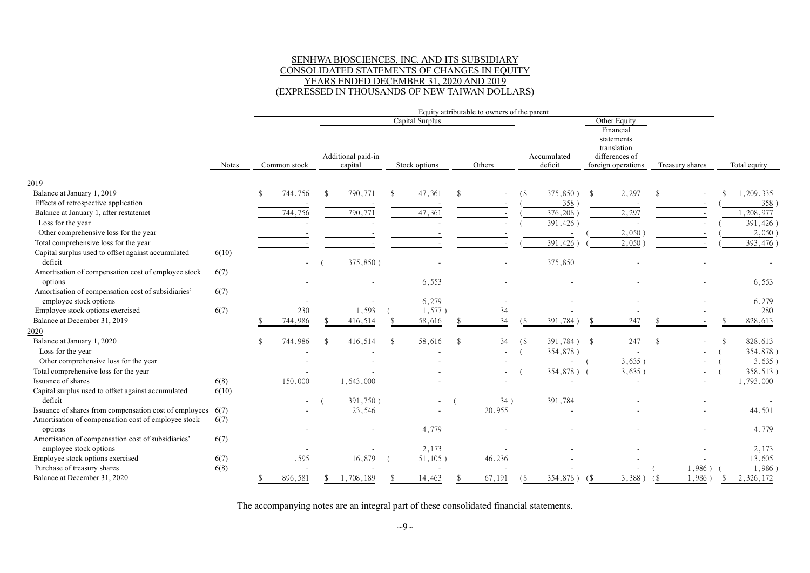#### SENHWA BIOSCIENCES, INC. AND ITS SUBSIDIARY CONSOLIDATED STATEMENTS OF CHANGES IN EQUITY YEARS ENDED DECEMBER 31, 2020 AND 2019 (EXPRESSED IN THOUSANDS OF NEW TAIWAN DOLLARS)

|                                                               |              |               |      |                               |     |                 | Equity attributable to owners of the parent |     |                        |                              |                                                                                |        |                          |              |
|---------------------------------------------------------------|--------------|---------------|------|-------------------------------|-----|-----------------|---------------------------------------------|-----|------------------------|------------------------------|--------------------------------------------------------------------------------|--------|--------------------------|--------------|
|                                                               |              |               |      |                               |     | Capital Surplus |                                             |     |                        |                              | Other Equity                                                                   |        |                          |              |
|                                                               | <b>Notes</b> | Common stock  |      | Additional paid-in<br>capital |     | Stock options   | Others                                      |     | Accumulated<br>deficit |                              | Financial<br>statements<br>translation<br>differences of<br>foreign operations |        | Treasury shares          | Total equity |
| 2019                                                          |              |               |      |                               |     |                 |                                             |     |                        |                              |                                                                                |        |                          |              |
| Balance at January 1, 2019                                    |              | \$<br>744,756 | - \$ | 790,771                       | -\$ | 47,361          | \$                                          | (   | $375,850$ )            | -\$                          | 2,297                                                                          | -\$    |                          | 1,209,335    |
| Effects of retrospective application                          |              |               |      |                               |     |                 |                                             |     | 358                    |                              |                                                                                |        |                          | 358          |
| Balance at January 1, after restatemet                        |              | 744,756       |      | 790,771                       |     | 47,361          |                                             |     | 376,208                |                              | 2,297                                                                          |        |                          | , 208, 977   |
| Loss for the year                                             |              |               |      |                               |     |                 |                                             |     | 391,426)               |                              |                                                                                |        |                          | 391,426)     |
| Other comprehensive loss for the year                         |              |               |      |                               |     |                 |                                             |     |                        |                              | 2,050                                                                          |        |                          | 2,050        |
| Total comprehensive loss for the year                         |              |               |      |                               |     |                 |                                             |     | $391,426$ )            |                              | 2,050                                                                          |        |                          | 393,476      |
| Capital surplus used to offset against accumulated            | 6(10)        |               |      |                               |     |                 |                                             |     |                        |                              |                                                                                |        |                          |              |
| deficit                                                       |              | $\sim$        |      | 375,850)                      |     |                 |                                             |     | 375,850                |                              |                                                                                |        |                          |              |
| Amortisation of compensation cost of employee stock           | 6(7)         |               |      |                               |     |                 |                                             |     |                        |                              |                                                                                |        |                          |              |
| options                                                       |              |               |      |                               |     | 6,553           |                                             |     |                        |                              |                                                                                |        |                          | 6,553        |
| Amortisation of compensation cost of subsidiaries'            | 6(7)         |               |      |                               |     |                 |                                             |     |                        |                              |                                                                                |        |                          |              |
| employee stock options                                        |              |               |      |                               |     | 6,279           |                                             |     |                        |                              |                                                                                |        |                          | 6,279        |
| Employee stock options exercised                              | 6(7)         | 230           |      | 1,593                         |     | 1,577           | 34                                          |     |                        |                              |                                                                                |        |                          | 280          |
| Balance at December 31, 2019                                  |              | 744,986       |      | 416,514                       |     | 58,616          | 34                                          |     | 391,784                |                              | 247                                                                            |        |                          | 828,613      |
| 2020                                                          |              |               |      |                               |     |                 |                                             |     |                        |                              |                                                                                |        |                          |              |
| Balance at January 1, 2020                                    |              | 744,986       |      | 416,514                       |     | 58,616          | 34                                          |     | 391,784)               |                              | 247                                                                            |        |                          | 828,613      |
| Loss for the year                                             |              |               |      |                               |     |                 |                                             |     | 354,878)               |                              |                                                                                |        | $\overline{a}$           | 354,878)     |
| Other comprehensive loss for the year                         |              |               |      |                               |     |                 |                                             |     |                        |                              | 3,635                                                                          |        |                          | 3,635        |
| Total comprehensive loss for the year                         |              |               |      |                               |     |                 |                                             |     | 354,878                |                              | 3,635                                                                          |        | $\overline{\phantom{a}}$ | 358,513      |
| Issuance of shares                                            | 6(8)         | 150,000       |      | 1,643,000                     |     |                 |                                             |     |                        |                              |                                                                                |        | $\overline{a}$           | 1,793,000    |
| Capital surplus used to offset against accumulated            | 6(10)        |               |      |                               |     |                 |                                             |     |                        |                              |                                                                                |        |                          |              |
| deficit                                                       |              |               |      | 391,750)                      |     |                 | 34)                                         |     | 391,784                |                              |                                                                                |        |                          |              |
| Issuance of shares from compensation cost of employees        | 6(7)         |               |      | 23,546                        |     |                 | 20,955                                      |     |                        |                              |                                                                                |        |                          | 44,501       |
| Amortisation of compensation cost of employee stock           | 6(7)         |               |      |                               |     |                 |                                             |     |                        |                              |                                                                                |        |                          |              |
| options<br>Amortisation of compensation cost of subsidiaries' |              |               |      |                               |     | 4,779           |                                             |     |                        |                              |                                                                                |        |                          | 4,779        |
| employee stock options                                        | 6(7)         |               |      |                               |     | 2,173           |                                             |     |                        |                              |                                                                                |        |                          | 2,173        |
| Employee stock options exercised                              | 6(7)         | 1,595         |      | 16,879                        |     | $51,105$ )      | 46,236                                      |     |                        |                              |                                                                                |        |                          | 13,605       |
| Purchase of treasury shares                                   | 6(8)         |               |      |                               |     |                 |                                             |     |                        |                              |                                                                                |        | 1,986                    | 1,986        |
| Balance at December 31, 2020                                  |              | 896,581       |      | 1,708,189                     |     | 14,463          | 67,191                                      | (\$ | 354,878)               | $\left( \frac{6}{5} \right)$ | 3,388)                                                                         | $($ \$ | 1,986                    | 2,326,172    |
|                                                               |              |               |      |                               |     |                 |                                             |     |                        |                              |                                                                                |        |                          |              |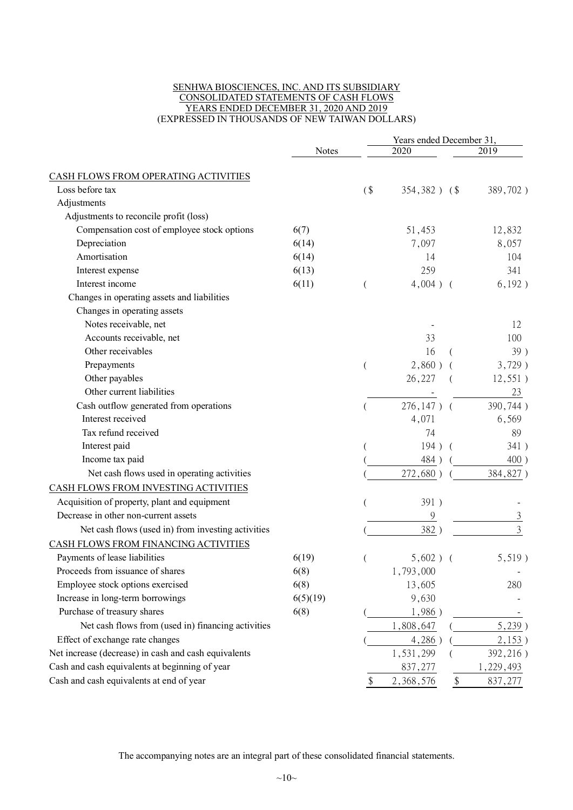#### SENHWA BIOSCIENCES, INC. AND ITS SUBSIDIARY CONSOLIDATED STATEMENTS OF CASH FLOWS YEARS ENDED DECEMBER 31, 2020 AND 2019 (EXPRESSED IN THOUSANDS OF NEW TAIWAN DOLLARS)

| <b>Notes</b><br>CASH FLOWS FROM OPERATING ACTIVITIES<br>Loss before tax<br>$($ \$<br>$354,382$ ) (\$<br>Adjustments<br>Adjustments to reconcile profit (loss)<br>Compensation cost of employee stock options<br>6(7)<br>51,453<br>12,832<br>Depreciation<br>6(14)<br>7,097<br>8,057<br>Amortisation<br>6(14)<br>14<br>104<br>6(13)<br>259<br>Interest expense<br>341<br>Interest income<br>6(11)<br>$4,004$ ) (<br>$\overline{(}$<br>Changes in operating assets and liabilities<br>Changes in operating assets<br>Notes receivable, net<br>12<br>Accounts receivable, net<br>33<br>100<br>Other receivables<br>16<br>$2,860$ )<br>Prepayments<br>(<br>Other payables<br>26,227<br>Other current liabilities<br>23<br>Cash outflow generated from operations<br>276,147)<br>Interest received<br>4,071<br>6,569<br>Tax refund received<br>74<br>89<br>Interest paid<br>194)<br>Income tax paid<br>484)<br>Net cash flows used in operating activities<br>272,680)<br>CASH FLOWS FROM INVESTING ACTIVITIES<br>Acquisition of property, plant and equipment<br>391)<br>Decrease in other non-current assets<br>9<br>3<br>$\overline{3}$<br>Net cash flows (used in) from investing activities<br>382)<br>CASH FLOWS FROM FINANCING ACTIVITIES<br>Payments of lease liabilities<br>6(19)<br>$5,602$ ) (<br>5,519)<br>1,793,000<br>Proceeds from issuance of shares<br>6(8)<br>Employee stock options exercised<br>6(8)<br>13,605<br>280<br>Increase in long-term borrowings<br>6(5)(19)<br>9,630<br>Purchase of treasury shares<br>6(8)<br>1,986)<br>Net cash flows from (used in) financing activities<br>5,239)<br>1,808,647<br>Effect of exchange rate changes<br>4,286)<br>2,153)<br>Net increase (decrease) in cash and cash equivalents<br>1,531,299<br>392,216)<br>Cash and cash equivalents at beginning of year<br>837,277<br>1,229,493<br>Cash and cash equivalents at end of year<br>\$<br>\$<br>837,277<br>2,368,576 |  | Years ended December 31, |      |          |
|-------------------------------------------------------------------------------------------------------------------------------------------------------------------------------------------------------------------------------------------------------------------------------------------------------------------------------------------------------------------------------------------------------------------------------------------------------------------------------------------------------------------------------------------------------------------------------------------------------------------------------------------------------------------------------------------------------------------------------------------------------------------------------------------------------------------------------------------------------------------------------------------------------------------------------------------------------------------------------------------------------------------------------------------------------------------------------------------------------------------------------------------------------------------------------------------------------------------------------------------------------------------------------------------------------------------------------------------------------------------------------------------------------------------------------------------------------------------------------------------------------------------------------------------------------------------------------------------------------------------------------------------------------------------------------------------------------------------------------------------------------------------------------------------------------------------------------------------------------------------------------------------------------------------------------|--|--------------------------|------|----------|
|                                                                                                                                                                                                                                                                                                                                                                                                                                                                                                                                                                                                                                                                                                                                                                                                                                                                                                                                                                                                                                                                                                                                                                                                                                                                                                                                                                                                                                                                                                                                                                                                                                                                                                                                                                                                                                                                                                                               |  |                          | 2020 | 2019     |
|                                                                                                                                                                                                                                                                                                                                                                                                                                                                                                                                                                                                                                                                                                                                                                                                                                                                                                                                                                                                                                                                                                                                                                                                                                                                                                                                                                                                                                                                                                                                                                                                                                                                                                                                                                                                                                                                                                                               |  |                          |      |          |
|                                                                                                                                                                                                                                                                                                                                                                                                                                                                                                                                                                                                                                                                                                                                                                                                                                                                                                                                                                                                                                                                                                                                                                                                                                                                                                                                                                                                                                                                                                                                                                                                                                                                                                                                                                                                                                                                                                                               |  |                          |      | 389,702) |
|                                                                                                                                                                                                                                                                                                                                                                                                                                                                                                                                                                                                                                                                                                                                                                                                                                                                                                                                                                                                                                                                                                                                                                                                                                                                                                                                                                                                                                                                                                                                                                                                                                                                                                                                                                                                                                                                                                                               |  |                          |      |          |
|                                                                                                                                                                                                                                                                                                                                                                                                                                                                                                                                                                                                                                                                                                                                                                                                                                                                                                                                                                                                                                                                                                                                                                                                                                                                                                                                                                                                                                                                                                                                                                                                                                                                                                                                                                                                                                                                                                                               |  |                          |      |          |
|                                                                                                                                                                                                                                                                                                                                                                                                                                                                                                                                                                                                                                                                                                                                                                                                                                                                                                                                                                                                                                                                                                                                                                                                                                                                                                                                                                                                                                                                                                                                                                                                                                                                                                                                                                                                                                                                                                                               |  |                          |      |          |
|                                                                                                                                                                                                                                                                                                                                                                                                                                                                                                                                                                                                                                                                                                                                                                                                                                                                                                                                                                                                                                                                                                                                                                                                                                                                                                                                                                                                                                                                                                                                                                                                                                                                                                                                                                                                                                                                                                                               |  |                          |      |          |
|                                                                                                                                                                                                                                                                                                                                                                                                                                                                                                                                                                                                                                                                                                                                                                                                                                                                                                                                                                                                                                                                                                                                                                                                                                                                                                                                                                                                                                                                                                                                                                                                                                                                                                                                                                                                                                                                                                                               |  |                          |      |          |
|                                                                                                                                                                                                                                                                                                                                                                                                                                                                                                                                                                                                                                                                                                                                                                                                                                                                                                                                                                                                                                                                                                                                                                                                                                                                                                                                                                                                                                                                                                                                                                                                                                                                                                                                                                                                                                                                                                                               |  |                          |      |          |
|                                                                                                                                                                                                                                                                                                                                                                                                                                                                                                                                                                                                                                                                                                                                                                                                                                                                                                                                                                                                                                                                                                                                                                                                                                                                                                                                                                                                                                                                                                                                                                                                                                                                                                                                                                                                                                                                                                                               |  |                          |      | 6,192)   |
|                                                                                                                                                                                                                                                                                                                                                                                                                                                                                                                                                                                                                                                                                                                                                                                                                                                                                                                                                                                                                                                                                                                                                                                                                                                                                                                                                                                                                                                                                                                                                                                                                                                                                                                                                                                                                                                                                                                               |  |                          |      |          |
|                                                                                                                                                                                                                                                                                                                                                                                                                                                                                                                                                                                                                                                                                                                                                                                                                                                                                                                                                                                                                                                                                                                                                                                                                                                                                                                                                                                                                                                                                                                                                                                                                                                                                                                                                                                                                                                                                                                               |  |                          |      |          |
|                                                                                                                                                                                                                                                                                                                                                                                                                                                                                                                                                                                                                                                                                                                                                                                                                                                                                                                                                                                                                                                                                                                                                                                                                                                                                                                                                                                                                                                                                                                                                                                                                                                                                                                                                                                                                                                                                                                               |  |                          |      |          |
|                                                                                                                                                                                                                                                                                                                                                                                                                                                                                                                                                                                                                                                                                                                                                                                                                                                                                                                                                                                                                                                                                                                                                                                                                                                                                                                                                                                                                                                                                                                                                                                                                                                                                                                                                                                                                                                                                                                               |  |                          |      |          |
|                                                                                                                                                                                                                                                                                                                                                                                                                                                                                                                                                                                                                                                                                                                                                                                                                                                                                                                                                                                                                                                                                                                                                                                                                                                                                                                                                                                                                                                                                                                                                                                                                                                                                                                                                                                                                                                                                                                               |  |                          |      | 39)      |
|                                                                                                                                                                                                                                                                                                                                                                                                                                                                                                                                                                                                                                                                                                                                                                                                                                                                                                                                                                                                                                                                                                                                                                                                                                                                                                                                                                                                                                                                                                                                                                                                                                                                                                                                                                                                                                                                                                                               |  |                          |      | 3,729)   |
|                                                                                                                                                                                                                                                                                                                                                                                                                                                                                                                                                                                                                                                                                                                                                                                                                                                                                                                                                                                                                                                                                                                                                                                                                                                                                                                                                                                                                                                                                                                                                                                                                                                                                                                                                                                                                                                                                                                               |  |                          |      | 12,551)  |
|                                                                                                                                                                                                                                                                                                                                                                                                                                                                                                                                                                                                                                                                                                                                                                                                                                                                                                                                                                                                                                                                                                                                                                                                                                                                                                                                                                                                                                                                                                                                                                                                                                                                                                                                                                                                                                                                                                                               |  |                          |      |          |
|                                                                                                                                                                                                                                                                                                                                                                                                                                                                                                                                                                                                                                                                                                                                                                                                                                                                                                                                                                                                                                                                                                                                                                                                                                                                                                                                                                                                                                                                                                                                                                                                                                                                                                                                                                                                                                                                                                                               |  |                          |      | 390,744) |
|                                                                                                                                                                                                                                                                                                                                                                                                                                                                                                                                                                                                                                                                                                                                                                                                                                                                                                                                                                                                                                                                                                                                                                                                                                                                                                                                                                                                                                                                                                                                                                                                                                                                                                                                                                                                                                                                                                                               |  |                          |      |          |
|                                                                                                                                                                                                                                                                                                                                                                                                                                                                                                                                                                                                                                                                                                                                                                                                                                                                                                                                                                                                                                                                                                                                                                                                                                                                                                                                                                                                                                                                                                                                                                                                                                                                                                                                                                                                                                                                                                                               |  |                          |      |          |
|                                                                                                                                                                                                                                                                                                                                                                                                                                                                                                                                                                                                                                                                                                                                                                                                                                                                                                                                                                                                                                                                                                                                                                                                                                                                                                                                                                                                                                                                                                                                                                                                                                                                                                                                                                                                                                                                                                                               |  |                          |      | 341)     |
|                                                                                                                                                                                                                                                                                                                                                                                                                                                                                                                                                                                                                                                                                                                                                                                                                                                                                                                                                                                                                                                                                                                                                                                                                                                                                                                                                                                                                                                                                                                                                                                                                                                                                                                                                                                                                                                                                                                               |  |                          |      | 400)     |
|                                                                                                                                                                                                                                                                                                                                                                                                                                                                                                                                                                                                                                                                                                                                                                                                                                                                                                                                                                                                                                                                                                                                                                                                                                                                                                                                                                                                                                                                                                                                                                                                                                                                                                                                                                                                                                                                                                                               |  |                          |      | 384,827) |
|                                                                                                                                                                                                                                                                                                                                                                                                                                                                                                                                                                                                                                                                                                                                                                                                                                                                                                                                                                                                                                                                                                                                                                                                                                                                                                                                                                                                                                                                                                                                                                                                                                                                                                                                                                                                                                                                                                                               |  |                          |      |          |
|                                                                                                                                                                                                                                                                                                                                                                                                                                                                                                                                                                                                                                                                                                                                                                                                                                                                                                                                                                                                                                                                                                                                                                                                                                                                                                                                                                                                                                                                                                                                                                                                                                                                                                                                                                                                                                                                                                                               |  |                          |      |          |
|                                                                                                                                                                                                                                                                                                                                                                                                                                                                                                                                                                                                                                                                                                                                                                                                                                                                                                                                                                                                                                                                                                                                                                                                                                                                                                                                                                                                                                                                                                                                                                                                                                                                                                                                                                                                                                                                                                                               |  |                          |      |          |
|                                                                                                                                                                                                                                                                                                                                                                                                                                                                                                                                                                                                                                                                                                                                                                                                                                                                                                                                                                                                                                                                                                                                                                                                                                                                                                                                                                                                                                                                                                                                                                                                                                                                                                                                                                                                                                                                                                                               |  |                          |      |          |
|                                                                                                                                                                                                                                                                                                                                                                                                                                                                                                                                                                                                                                                                                                                                                                                                                                                                                                                                                                                                                                                                                                                                                                                                                                                                                                                                                                                                                                                                                                                                                                                                                                                                                                                                                                                                                                                                                                                               |  |                          |      |          |
|                                                                                                                                                                                                                                                                                                                                                                                                                                                                                                                                                                                                                                                                                                                                                                                                                                                                                                                                                                                                                                                                                                                                                                                                                                                                                                                                                                                                                                                                                                                                                                                                                                                                                                                                                                                                                                                                                                                               |  |                          |      |          |
|                                                                                                                                                                                                                                                                                                                                                                                                                                                                                                                                                                                                                                                                                                                                                                                                                                                                                                                                                                                                                                                                                                                                                                                                                                                                                                                                                                                                                                                                                                                                                                                                                                                                                                                                                                                                                                                                                                                               |  |                          |      |          |
|                                                                                                                                                                                                                                                                                                                                                                                                                                                                                                                                                                                                                                                                                                                                                                                                                                                                                                                                                                                                                                                                                                                                                                                                                                                                                                                                                                                                                                                                                                                                                                                                                                                                                                                                                                                                                                                                                                                               |  |                          |      |          |
|                                                                                                                                                                                                                                                                                                                                                                                                                                                                                                                                                                                                                                                                                                                                                                                                                                                                                                                                                                                                                                                                                                                                                                                                                                                                                                                                                                                                                                                                                                                                                                                                                                                                                                                                                                                                                                                                                                                               |  |                          |      |          |
|                                                                                                                                                                                                                                                                                                                                                                                                                                                                                                                                                                                                                                                                                                                                                                                                                                                                                                                                                                                                                                                                                                                                                                                                                                                                                                                                                                                                                                                                                                                                                                                                                                                                                                                                                                                                                                                                                                                               |  |                          |      |          |
|                                                                                                                                                                                                                                                                                                                                                                                                                                                                                                                                                                                                                                                                                                                                                                                                                                                                                                                                                                                                                                                                                                                                                                                                                                                                                                                                                                                                                                                                                                                                                                                                                                                                                                                                                                                                                                                                                                                               |  |                          |      |          |
|                                                                                                                                                                                                                                                                                                                                                                                                                                                                                                                                                                                                                                                                                                                                                                                                                                                                                                                                                                                                                                                                                                                                                                                                                                                                                                                                                                                                                                                                                                                                                                                                                                                                                                                                                                                                                                                                                                                               |  |                          |      |          |
|                                                                                                                                                                                                                                                                                                                                                                                                                                                                                                                                                                                                                                                                                                                                                                                                                                                                                                                                                                                                                                                                                                                                                                                                                                                                                                                                                                                                                                                                                                                                                                                                                                                                                                                                                                                                                                                                                                                               |  |                          |      |          |
|                                                                                                                                                                                                                                                                                                                                                                                                                                                                                                                                                                                                                                                                                                                                                                                                                                                                                                                                                                                                                                                                                                                                                                                                                                                                                                                                                                                                                                                                                                                                                                                                                                                                                                                                                                                                                                                                                                                               |  |                          |      |          |
|                                                                                                                                                                                                                                                                                                                                                                                                                                                                                                                                                                                                                                                                                                                                                                                                                                                                                                                                                                                                                                                                                                                                                                                                                                                                                                                                                                                                                                                                                                                                                                                                                                                                                                                                                                                                                                                                                                                               |  |                          |      |          |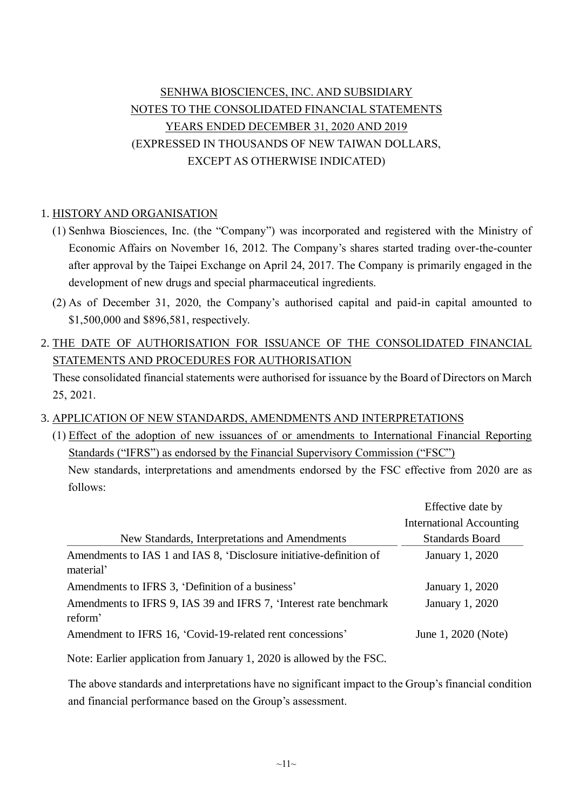## SENHWA BIOSCIENCES, INC. AND SUBSIDIARY NOTES TO THE CONSOLIDATED FINANCIAL STATEMENTS YEARS ENDED DECEMBER 31, 2020 AND 2019 (EXPRESSED IN THOUSANDS OF NEW TAIWAN DOLLARS, EXCEPT AS OTHERWISE INDICATED)

### 1. HISTORY AND ORGANISATION

- (1) Senhwa Biosciences, Inc. (the "Company") was incorporated and registered with the Ministry of Economic Affairs on November 16, 2012. The Company's shares started trading over-the-counter after approval by the Taipei Exchange on April 24, 2017. The Company is primarily engaged in the development of new drugs and special pharmaceutical ingredients.
- (2) As of December 31, 2020, the Company's authorised capital and paid-in capital amounted to \$1,500,000 and \$896,581, respectively.
- 2. THE DATE OF AUTHORISATION FOR ISSUANCE OF THE CONSOLIDATED FINANCIAL STATEMENTS AND PROCEDURES FOR AUTHORISATION

These consolidated financial statements were authorised for issuance by the Board of Directors on March 25, 2021.

3. APPLICATION OF NEW STANDARDS, AMENDMENTS AND INTERPRETATIONS

(1) Effect of the adoption of new issuances of or amendments to International Financial Reporting Standards ("IFRS") as endorsed by the Financial Supervisory Commission ("FSC") New standards, interpretations and amendments endorsed by the FSC effective from 2020 are as follows:

|                                                                                  | Effective date by               |
|----------------------------------------------------------------------------------|---------------------------------|
|                                                                                  | <b>International Accounting</b> |
| New Standards, Interpretations and Amendments                                    | <b>Standards Board</b>          |
| Amendments to IAS 1 and IAS 8, 'Disclosure initiative-definition of<br>material' | January 1, 2020                 |
| Amendments to IFRS 3, 'Definition of a business'                                 | January 1, 2020                 |
| Amendments to IFRS 9, IAS 39 and IFRS 7, 'Interest rate benchmark<br>reform'     | January 1, 2020                 |
| Amendment to IFRS 16, 'Covid-19-related rent concessions'                        | June 1, 2020 (Note)             |

Note: Earlier application from January 1, 2020 is allowed by the FSC.

The above standards and interpretations have no significant impact to the Group's financial condition and financial performance based on the Group's assessment.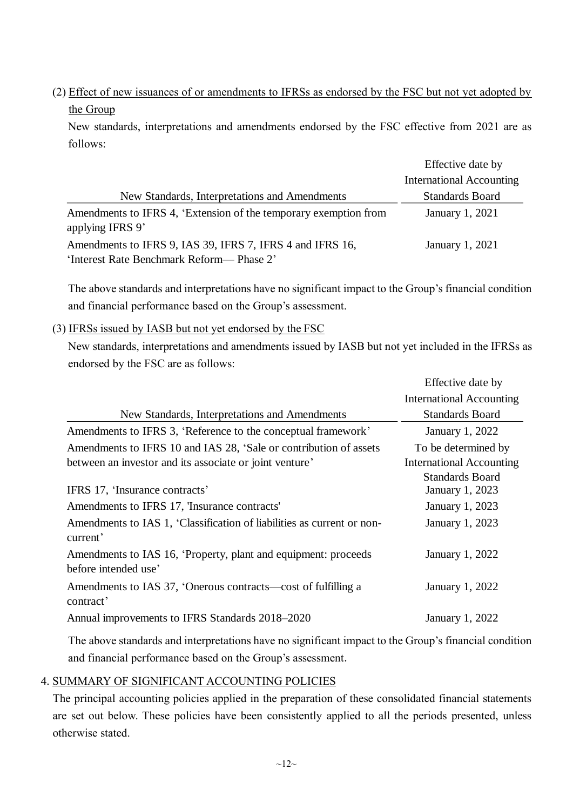(2) Effect of new issuances of or amendments to IFRSs as endorsed by the FSC but not yet adopted by the Group

New standards, interpretations and amendments endorsed by the FSC effective from 2021 are as follows:

|                                                                                                        | Effective date by               |
|--------------------------------------------------------------------------------------------------------|---------------------------------|
|                                                                                                        | <b>International Accounting</b> |
| New Standards, Interpretations and Amendments                                                          | <b>Standards Board</b>          |
| Amendments to IFRS 4, 'Extension of the temporary exemption from<br>applying IFRS 9'                   | January 1, 2021                 |
| Amendments to IFRS 9, IAS 39, IFRS 7, IFRS 4 and IFRS 16,<br>'Interest Rate Benchmark Reform— Phase 2' | January 1, 2021                 |

The above standards and interpretations have no significant impact to the Group's financial condition and financial performance based on the Group's assessment.

#### (3) IFRSs issued by IASB but not yet endorsed by the FSC

New standards, interpretations and amendments issued by IASB but not yet included in the IFRSs as endorsed by the FSC are as follows:

|                                                                                        | Effective date by                         |
|----------------------------------------------------------------------------------------|-------------------------------------------|
|                                                                                        | <b>International Accounting</b>           |
| New Standards, Interpretations and Amendments                                          | <b>Standards Board</b>                    |
| Amendments to IFRS 3, 'Reference to the conceptual framework'                          | January 1, 2022                           |
| Amendments to IFRS 10 and IAS 28, 'Sale or contribution of assets                      | To be determined by                       |
| between an investor and its associate or joint venture'                                | <b>International Accounting</b>           |
| IFRS 17, 'Insurance contracts'                                                         | <b>Standards Board</b><br>January 1, 2023 |
| Amendments to IFRS 17, 'Insurance contracts'                                           | January 1, 2023                           |
| Amendments to IAS 1, 'Classification of liabilities as current or non-<br>current'     | January 1, 2023                           |
| Amendments to IAS 16, 'Property, plant and equipment: proceeds<br>before intended use' | January 1, 2022                           |
| Amendments to IAS 37, 'Onerous contracts—cost of fulfilling a<br>contract'             | January 1, 2022                           |
| Annual improvements to IFRS Standards 2018–2020                                        | January 1, 2022                           |

The above standards and interpretations have no significant impact to the Group's financial condition and financial performance based on the Group's assessment.

### 4. SUMMARY OF SIGNIFICANT ACCOUNTING POLICIES

The principal accounting policies applied in the preparation of these consolidated financial statements are set out below. These policies have been consistently applied to all the periods presented, unless otherwise stated.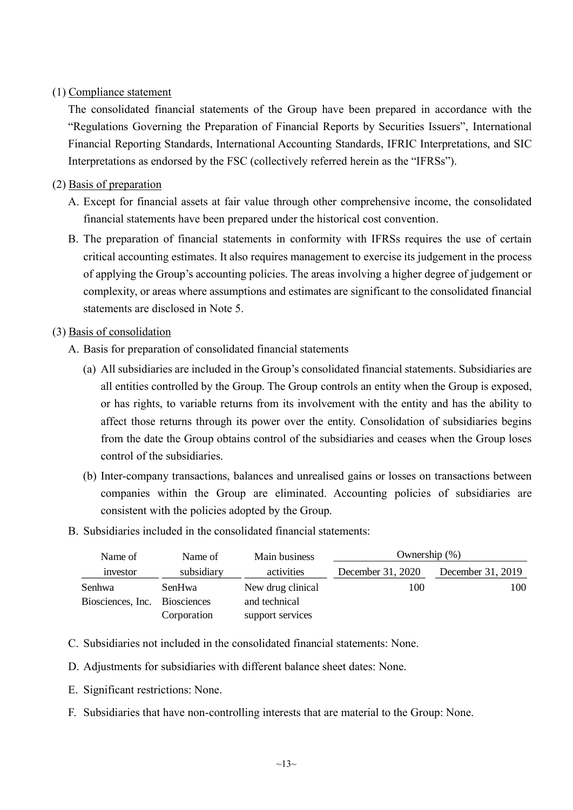#### (1) Compliance statement

The consolidated financial statements of the Group have been prepared in accordance with the "Regulations Governing the Preparation of Financial Reports by Securities Issuers", International Financial Reporting Standards, International Accounting Standards, IFRIC Interpretations, and SIC Interpretations as endorsed by the FSC (collectively referred herein as the "IFRSs").

### (2) Basis of preparation

- A. Except for financial assets at fair value through other comprehensive income, the consolidated financial statements have been prepared under the historical cost convention.
- B. The preparation of financial statements in conformity with IFRSs requires the use of certain critical accounting estimates. It also requires management to exercise its judgement in the process of applying the Group's accounting policies. The areas involving a higher degree of judgement or complexity, or areas where assumptions and estimates are significant to the consolidated financial statements are disclosed in Note 5.

#### (3) Basis of consolidation

- A. Basis for preparation of consolidated financial statements
	- (a) All subsidiaries are included in the Group's consolidated financial statements. Subsidiaries are all entities controlled by the Group. The Group controls an entity when the Group is exposed, or has rights, to variable returns from its involvement with the entity and has the ability to affect those returns through its power over the entity. Consolidation of subsidiaries begins from the date the Group obtains control of the subsidiaries and ceases when the Group loses control of the subsidiaries.
	- (b) Inter-company transactions, balances and unrealised gains or losses on transactions between companies within the Group are eliminated. Accounting policies of subsidiaries are consistent with the policies adopted by the Group.
- B. Subsidiaries included in the consolidated financial statements:

| Name of           | Name of            | Main business     | Ownership $(\%)$  |                   |  |  |  |  |
|-------------------|--------------------|-------------------|-------------------|-------------------|--|--|--|--|
| investor          | subsidiary         | activities        | December 31, 2020 | December 31, 2019 |  |  |  |  |
| Senhwa            | <b>SenHwa</b>      | New drug clinical | 100               | 100               |  |  |  |  |
| Biosciences, Inc. | <b>Biosciences</b> | and technical     |                   |                   |  |  |  |  |
|                   | Corporation        | support services  |                   |                   |  |  |  |  |

- C. Subsidiaries not included in the consolidated financial statements: None.
- D. Adjustments for subsidiaries with different balance sheet dates: None.
- E. Significant restrictions: None.
- F. Subsidiaries that have non-controlling interests that are material to the Group: None.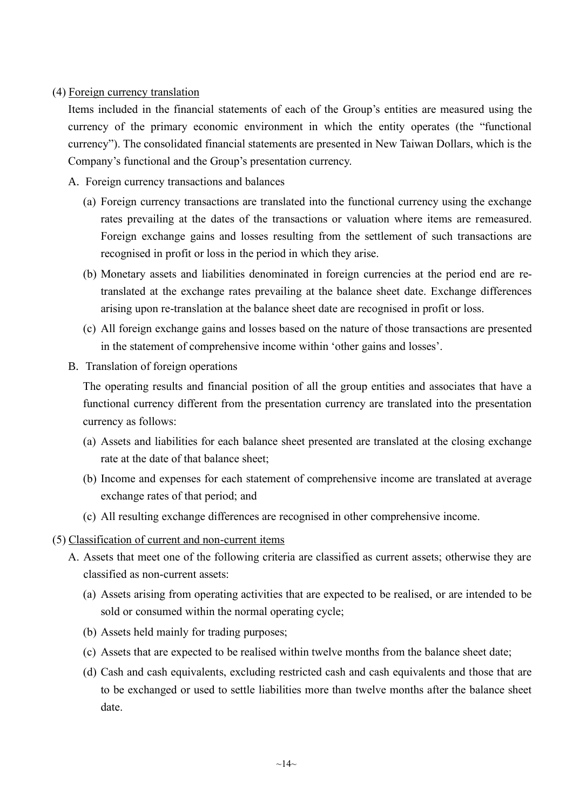#### (4) Foreign currency translation

Items included in the financial statements of each of the Group's entities are measured using the currency of the primary economic environment in which the entity operates (the "functional currency"). The consolidated financial statements are presented in New Taiwan Dollars, which is the Company's functional and the Group's presentation currency.

### A. Foreign currency transactions and balances

- (a) Foreign currency transactions are translated into the functional currency using the exchange rates prevailing at the dates of the transactions or valuation where items are remeasured. Foreign exchange gains and losses resulting from the settlement of such transactions are recognised in profit or loss in the period in which they arise.
- (b) Monetary assets and liabilities denominated in foreign currencies at the period end are retranslated at the exchange rates prevailing at the balance sheet date. Exchange differences arising upon re-translation at the balance sheet date are recognised in profit or loss.
- (c) All foreign exchange gains and losses based on the nature of those transactions are presented in the statement of comprehensive income within 'other gains and losses'.
- B. Translation of foreign operations

The operating results and financial position of all the group entities and associates that have a functional currency different from the presentation currency are translated into the presentation currency as follows:

- (a) Assets and liabilities for each balance sheet presented are translated at the closing exchange rate at the date of that balance sheet;
- (b) Income and expenses for each statement of comprehensive income are translated at average exchange rates of that period; and
- (c) All resulting exchange differences are recognised in other comprehensive income.
- (5) Classification of current and non-current items
	- A. Assets that meet one of the following criteria are classified as current assets; otherwise they are classified as non-current assets:
		- (a) Assets arising from operating activities that are expected to be realised, or are intended to be sold or consumed within the normal operating cycle;
		- (b) Assets held mainly for trading purposes;
		- (c) Assets that are expected to be realised within twelve months from the balance sheet date;
		- (d) Cash and cash equivalents, excluding restricted cash and cash equivalents and those that are to be exchanged or used to settle liabilities more than twelve months after the balance sheet date.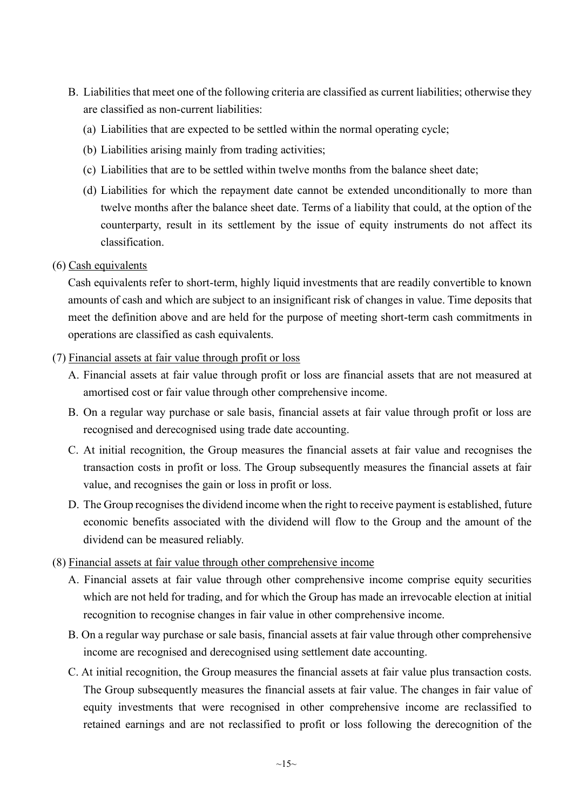- B. Liabilities that meet one of the following criteria are classified as current liabilities; otherwise they are classified as non-current liabilities:
	- (a) Liabilities that are expected to be settled within the normal operating cycle;
	- (b) Liabilities arising mainly from trading activities;
	- (c) Liabilities that are to be settled within twelve months from the balance sheet date;
	- (d) Liabilities for which the repayment date cannot be extended unconditionally to more than twelve months after the balance sheet date. Terms of a liability that could, at the option of the counterparty, result in its settlement by the issue of equity instruments do not affect its classification.
- (6) Cash equivalents

Cash equivalents refer to short-term, highly liquid investments that are readily convertible to known amounts of cash and which are subject to an insignificant risk of changes in value. Time deposits that meet the definition above and are held for the purpose of meeting short-term cash commitments in operations are classified as cash equivalents.

#### (7) Financial assets at fair value through profit or loss

- A. Financial assets at fair value through profit or loss are financial assets that are not measured at amortised cost or fair value through other comprehensive income.
- B. On a regular way purchase or sale basis, financial assets at fair value through profit or loss are recognised and derecognised using trade date accounting.
- C. At initial recognition, the Group measures the financial assets at fair value and recognises the transaction costs in profit or loss. The Group subsequently measures the financial assets at fair value, and recognises the gain or loss in profit or loss.
- D. The Group recognises the dividend income when the right to receive payment is established, future economic benefits associated with the dividend will flow to the Group and the amount of the dividend can be measured reliably.

#### (8) Financial assets at fair value through other comprehensive income

- A. Financial assets at fair value through other comprehensive income comprise equity securities which are not held for trading, and for which the Group has made an irrevocable election at initial recognition to recognise changes in fair value in other comprehensive income.
- B. On a regular way purchase or sale basis, financial assets at fair value through other comprehensive income are recognised and derecognised using settlement date accounting.
- C. At initial recognition, the Group measures the financial assets at fair value plus transaction costs. The Group subsequently measures the financial assets at fair value. The changes in fair value of equity investments that were recognised in other comprehensive income are reclassified to retained earnings and are not reclassified to profit or loss following the derecognition of the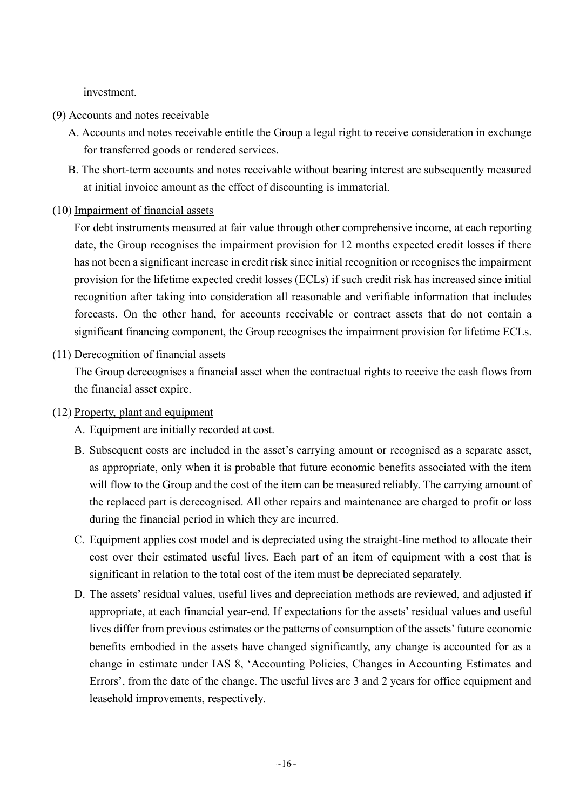investment.

#### (9) Accounts and notes receivable

- A. Accounts and notes receivable entitle the Group a legal right to receive consideration in exchange for transferred goods or rendered services.
- B. The short-term accounts and notes receivable without bearing interest are subsequently measured at initial invoice amount as the effect of discounting is immaterial.

#### (10) Impairment of financial assets

For debt instruments measured at fair value through other comprehensive income, at each reporting date, the Group recognises the impairment provision for 12 months expected credit losses if there has not been a significant increase in credit risk since initial recognition or recognises the impairment provision for the lifetime expected credit losses (ECLs) if such credit risk has increased since initial recognition after taking into consideration all reasonable and verifiable information that includes forecasts. On the other hand, for accounts receivable or contract assets that do not contain a significant financing component, the Group recognises the impairment provision for lifetime ECLs.

(11) Derecognition of financial assets

The Group derecognises a financial asset when the contractual rights to receive the cash flows from the financial asset expire.

#### (12) Property, plant and equipment

A. Equipment are initially recorded at cost.

- B. Subsequent costs are included in the asset's carrying amount or recognised as a separate asset, as appropriate, only when it is probable that future economic benefits associated with the item will flow to the Group and the cost of the item can be measured reliably. The carrying amount of the replaced part is derecognised. All other repairs and maintenance are charged to profit or loss during the financial period in which they are incurred.
- C. Equipment applies cost model and is depreciated using the straight-line method to allocate their cost over their estimated useful lives. Each part of an item of equipment with a cost that is significant in relation to the total cost of the item must be depreciated separately.
- D. The assets' residual values, useful lives and depreciation methods are reviewed, and adjusted if appropriate, at each financial year-end. If expectations for the assets' residual values and useful lives differ from previous estimates or the patterns of consumption of the assets' future economic benefits embodied in the assets have changed significantly, any change is accounted for as a change in estimate under IAS 8, 'Accounting Policies, Changes in Accounting Estimates and Errors', from the date of the change. The useful lives are 3 and 2 years for office equipment and leasehold improvements, respectively.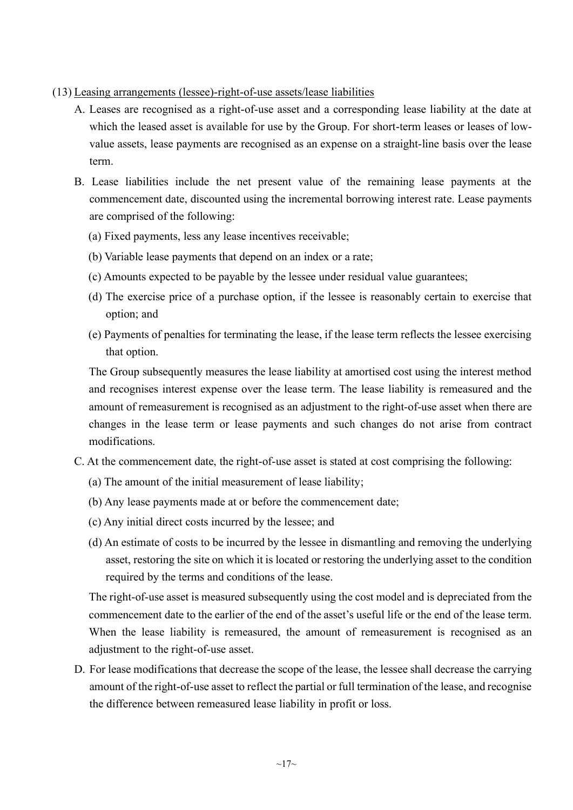- (13) Leasing arrangements (lessee)-right-of-use assets/lease liabilities
	- A. Leases are recognised as a right-of-use asset and a corresponding lease liability at the date at which the leased asset is available for use by the Group. For short-term leases or leases of lowvalue assets, lease payments are recognised as an expense on a straight-line basis over the lease term.
	- B. Lease liabilities include the net present value of the remaining lease payments at the commencement date, discounted using the incremental borrowing interest rate. Lease payments are comprised of the following:
		- (a) Fixed payments, less any lease incentives receivable;
		- (b) Variable lease payments that depend on an index or a rate;
		- (c) Amounts expected to be payable by the lessee under residual value guarantees;
		- (d) The exercise price of a purchase option, if the lessee is reasonably certain to exercise that option; and
		- (e) Payments of penalties for terminating the lease, if the lease term reflects the lessee exercising that option.

The Group subsequently measures the lease liability at amortised cost using the interest method and recognises interest expense over the lease term. The lease liability is remeasured and the amount of remeasurement is recognised as an adjustment to the right-of-use asset when there are changes in the lease term or lease payments and such changes do not arise from contract modifications.

- C. At the commencement date, the right-of-use asset is stated at cost comprising the following:
	- (a) The amount of the initial measurement of lease liability;
	- (b) Any lease payments made at or before the commencement date;
	- (c) Any initial direct costs incurred by the lessee; and
	- (d) An estimate of costs to be incurred by the lessee in dismantling and removing the underlying asset, restoring the site on which it is located or restoring the underlying asset to the condition required by the terms and conditions of the lease.

The right-of-use asset is measured subsequently using the cost model and is depreciated from the commencement date to the earlier of the end of the asset's useful life or the end of the lease term. When the lease liability is remeasured, the amount of remeasurement is recognised as an adjustment to the right-of-use asset.

D. For lease modifications that decrease the scope of the lease, the lessee shall decrease the carrying amount of the right-of-use asset to reflect the partial or full termination of the lease, and recognise the difference between remeasured lease liability in profit or loss.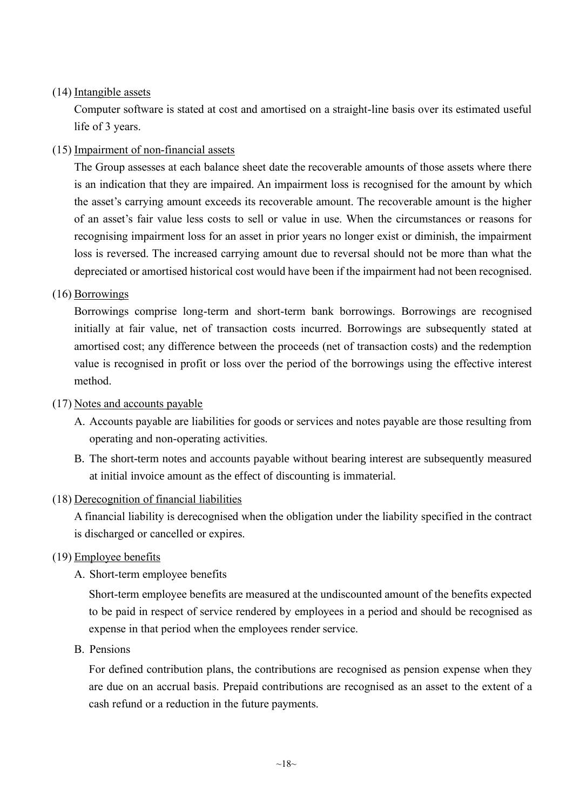### (14) Intangible assets

Computer software is stated at cost and amortised on a straight-line basis over its estimated useful life of 3 years.

### (15) Impairment of non-financial assets

The Group assesses at each balance sheet date the recoverable amounts of those assets where there is an indication that they are impaired. An impairment loss is recognised for the amount by which the asset's carrying amount exceeds its recoverable amount. The recoverable amount is the higher of an asset's fair value less costs to sell or value in use. When the circumstances or reasons for recognising impairment loss for an asset in prior years no longer exist or diminish, the impairment loss is reversed. The increased carrying amount due to reversal should not be more than what the depreciated or amortised historical cost would have been if the impairment had not been recognised.

### (16) Borrowings

Borrowings comprise long-term and short-term bank borrowings. Borrowings are recognised initially at fair value, net of transaction costs incurred. Borrowings are subsequently stated at amortised cost; any difference between the proceeds (net of transaction costs) and the redemption value is recognised in profit or loss over the period of the borrowings using the effective interest method.

#### (17) Notes and accounts payable

- A. Accounts payable are liabilities for goods or services and notes payable are those resulting from operating and non-operating activities.
- B. The short-term notes and accounts payable without bearing interest are subsequently measured at initial invoice amount as the effect of discounting is immaterial.

#### (18) Derecognition of financial liabilities

A financial liability is derecognised when the obligation under the liability specified in the contract is discharged or cancelled or expires.

#### (19) Employee benefits

A. Short-term employee benefits

Short-term employee benefits are measured at the undiscounted amount of the benefits expected to be paid in respect of service rendered by employees in a period and should be recognised as expense in that period when the employees render service.

B. Pensions

For defined contribution plans, the contributions are recognised as pension expense when they are due on an accrual basis. Prepaid contributions are recognised as an asset to the extent of a cash refund or a reduction in the future payments.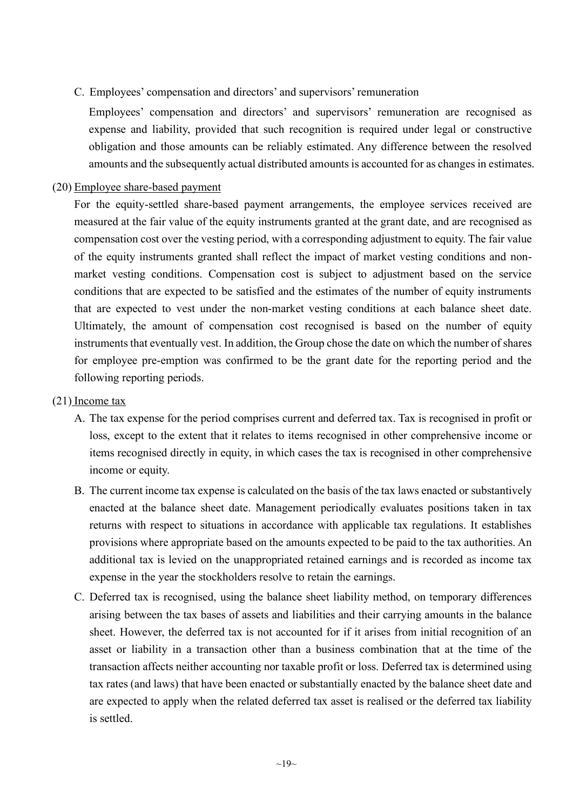### C. Employees' compensation and directors' and supervisors' remuneration

Employees' compensation and directors' and supervisors' remuneration are recognised as expense and liability, provided that such recognition is required under legal or constructive obligation and those amounts can be reliably estimated. Any difference between the resolved amounts and the subsequently actual distributed amounts is accounted for as changes in estimates.

#### (20) Employee share-based payment

For the equity-settled share-based payment arrangements, the employee services received are measured at the fair value of the equity instruments granted at the grant date, and are recognised as compensation cost over the vesting period, with a corresponding adjustment to equity. The fair value of the equity instruments granted shall reflect the impact of market vesting conditions and nonmarket vesting conditions. Compensation cost is subject to adjustment based on the service conditions that are expected to be satisfied and the estimates of the number of equity instruments that are expected to vest under the non-market vesting conditions at each balance sheet date. Ultimately, the amount of compensation cost recognised is based on the number of equity instruments that eventually vest. In addition, the Group chose the date on which the number of shares for employee pre-emption was confirmed to be the grant date for the reporting period and the following reporting periods.

#### $(21)$  Income tax

- A. The tax expense for the period comprises current and deferred tax. Tax is recognised in profit or loss, except to the extent that it relates to items recognised in other comprehensive income or items recognised directly in equity, in which cases the tax is recognised in other comprehensive income or equity.
- B. The current income tax expense is calculated on the basis of the tax laws enacted or substantively enacted at the balance sheet date. Management periodically evaluates positions taken in tax returns with respect to situations in accordance with applicable tax regulations. It establishes provisions where appropriate based on the amounts expected to be paid to the tax authorities. An additional tax is levied on the unappropriated retained earnings and is recorded as income tax expense in the year the stockholders resolve to retain the earnings.
- C. Deferred tax is recognised, using the balance sheet liability method, on temporary differences arising between the tax bases of assets and liabilities and their carrying amounts in the balance sheet. However, the deferred tax is not accounted for if it arises from initial recognition of an asset or liability in a transaction other than a business combination that at the time of the transaction affects neither accounting nor taxable profit or loss. Deferred tax is determined using tax rates (and laws) that have been enacted or substantially enacted by the balance sheet date and are expected to apply when the related deferred tax asset is realised or the deferred tax liability is settled.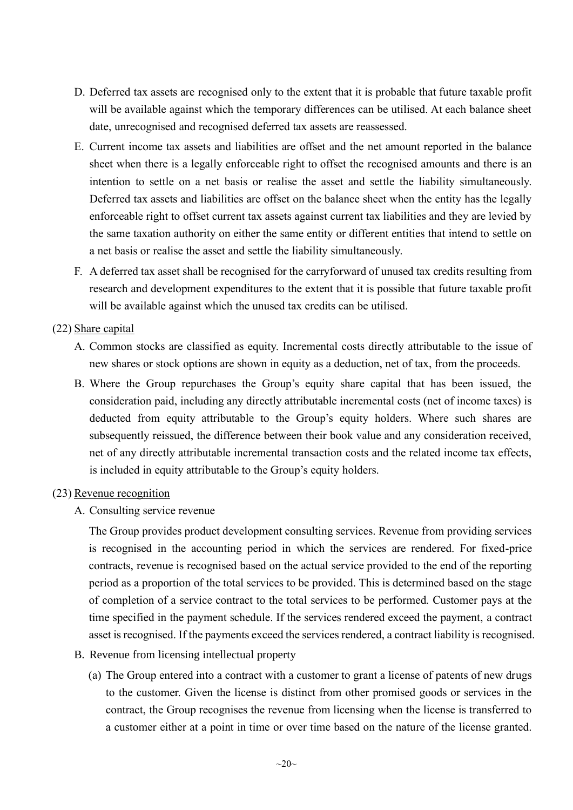- D. Deferred tax assets are recognised only to the extent that it is probable that future taxable profit will be available against which the temporary differences can be utilised. At each balance sheet date, unrecognised and recognised deferred tax assets are reassessed.
- E. Current income tax assets and liabilities are offset and the net amount reported in the balance sheet when there is a legally enforceable right to offset the recognised amounts and there is an intention to settle on a net basis or realise the asset and settle the liability simultaneously. Deferred tax assets and liabilities are offset on the balance sheet when the entity has the legally enforceable right to offset current tax assets against current tax liabilities and they are levied by the same taxation authority on either the same entity or different entities that intend to settle on a net basis or realise the asset and settle the liability simultaneously.
- F. A deferred tax asset shall be recognised for the carryforward of unused tax credits resulting from research and development expenditures to the extent that it is possible that future taxable profit will be available against which the unused tax credits can be utilised.

#### (22) Share capital

- A. Common stocks are classified as equity. Incremental costs directly attributable to the issue of new shares or stock options are shown in equity as a deduction, net of tax, from the proceeds.
- B. Where the Group repurchases the Group's equity share capital that has been issued, the consideration paid, including any directly attributable incremental costs (net of income taxes) is deducted from equity attributable to the Group's equity holders. Where such shares are subsequently reissued, the difference between their book value and any consideration received, net of any directly attributable incremental transaction costs and the related income tax effects, is included in equity attributable to the Group's equity holders.

#### (23) Revenue recognition

A. Consulting service revenue

The Group provides product development consulting services. Revenue from providing services is recognised in the accounting period in which the services are rendered. For fixed-price contracts, revenue is recognised based on the actual service provided to the end of the reporting period as a proportion of the total services to be provided. This is determined based on the stage of completion of a service contract to the total services to be performed. Customer pays at the time specified in the payment schedule. If the services rendered exceed the payment, a contract asset is recognised. If the payments exceed the services rendered, a contract liability is recognised.

- B. Revenue from licensing intellectual property
	- (a) The Group entered into a contract with a customer to grant a license of patents of new drugs to the customer. Given the license is distinct from other promised goods or services in the contract, the Group recognises the revenue from licensing when the license is transferred to a customer either at a point in time or over time based on the nature of the license granted.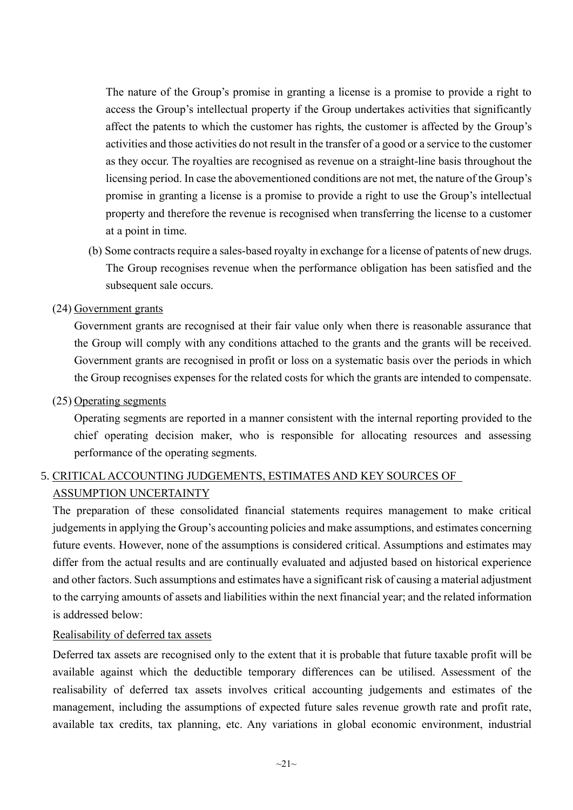The nature of the Group's promise in granting a license is a promise to provide a right to access the Group's intellectual property if the Group undertakes activities that significantly affect the patents to which the customer has rights, the customer is affected by the Group's activities and those activities do not result in the transfer of a good or a service to the customer as they occur. The royalties are recognised as revenue on a straight-line basis throughout the licensing period. In case the abovementioned conditions are not met, the nature of the Group's promise in granting a license is a promise to provide a right to use the Group's intellectual property and therefore the revenue is recognised when transferring the license to a customer at a point in time.

(b) Some contracts require a sales-based royalty in exchange for a license of patents of new drugs. The Group recognises revenue when the performance obligation has been satisfied and the subsequent sale occurs.

#### (24) Government grants

Government grants are recognised at their fair value only when there is reasonable assurance that the Group will comply with any conditions attached to the grants and the grants will be received. Government grants are recognised in profit or loss on a systematic basis over the periods in which the Group recognises expenses for the related costs for which the grants are intended to compensate.

#### (25) Operating segments

Operating segments are reported in a manner consistent with the internal reporting provided to the chief operating decision maker, who is responsible for allocating resources and assessing performance of the operating segments.

## 5. CRITICAL ACCOUNTING JUDGEMENTS, ESTIMATES AND KEY SOURCES OF ASSUMPTION UNCERTAINTY

The preparation of these consolidated financial statements requires management to make critical judgements in applying the Group's accounting policies and make assumptions, and estimates concerning future events. However, none of the assumptions is considered critical. Assumptions and estimates may differ from the actual results and are continually evaluated and adjusted based on historical experience and other factors. Such assumptions and estimates have a significant risk of causing a material adjustment to the carrying amounts of assets and liabilities within the next financial year; and the related information is addressed below:

#### Realisability of deferred tax assets

Deferred tax assets are recognised only to the extent that it is probable that future taxable profit will be available against which the deductible temporary differences can be utilised. Assessment of the realisability of deferred tax assets involves critical accounting judgements and estimates of the management, including the assumptions of expected future sales revenue growth rate and profit rate, available tax credits, tax planning, etc. Any variations in global economic environment, industrial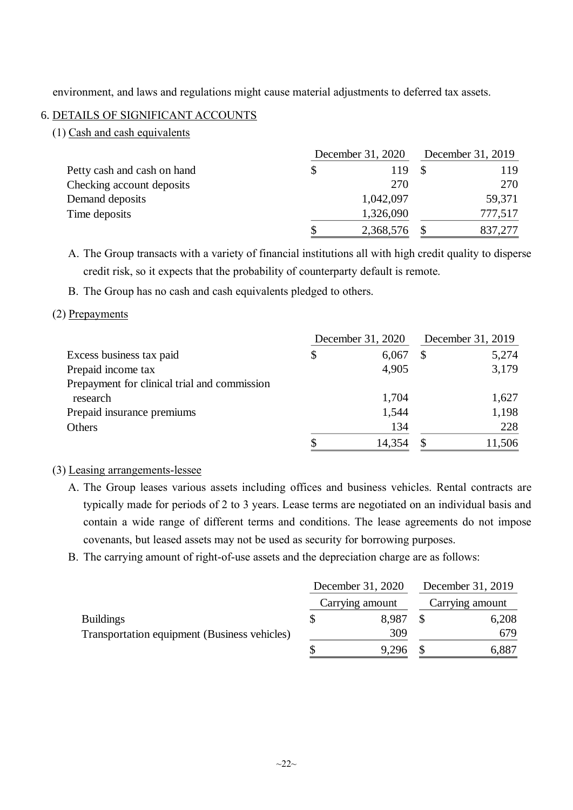environment, and laws and regulations might cause material adjustments to deferred tax assets.

### 6. DETAILS OF SIGNIFICANT ACCOUNTS

(1) Cash and cash equivalents

|                             | December 31, 2020 | December 31, 2019 |         |  |
|-----------------------------|-------------------|-------------------|---------|--|
| Petty cash and cash on hand | 119               |                   | 119     |  |
| Checking account deposits   | 270               |                   | 270     |  |
| Demand deposits             | 1,042,097         |                   | 59,371  |  |
| Time deposits               | 1,326,090         |                   | 777,517 |  |
|                             | 2,368,576         |                   | 837,277 |  |

A. The Group transacts with a variety of financial institutions all with high credit quality to disperse credit risk, so it expects that the probability of counterparty default is remote.

B. The Group has no cash and cash equivalents pledged to others.

### (2) Prepayments

|                                              | December 31, 2020 | December 31, 2019 |        |  |
|----------------------------------------------|-------------------|-------------------|--------|--|
| Excess business tax paid                     | \$<br>6,067       |                   | 5,274  |  |
| Prepaid income tax                           | 4,905             |                   | 3,179  |  |
| Prepayment for clinical trial and commission |                   |                   |        |  |
| research                                     | 1,704             |                   | 1,627  |  |
| Prepaid insurance premiums                   | 1,544             |                   | 1,198  |  |
| Others                                       | 134               |                   | 228    |  |
|                                              | 14,354            |                   | 11,506 |  |

#### (3) Leasing arrangements-lessee

- A. The Group leases various assets including offices and business vehicles. Rental contracts are typically made for periods of 2 to 3 years. Lease terms are negotiated on an individual basis and contain a wide range of different terms and conditions. The lease agreements do not impose covenants, but leased assets may not be used as security for borrowing purposes.
- B. The carrying amount of right-of-use assets and the depreciation charge are as follows:

|                                              |                 | December 31, 2020 |  | December 31, 2019 |
|----------------------------------------------|-----------------|-------------------|--|-------------------|
|                                              | Carrying amount |                   |  | Carrying amount   |
| <b>Buildings</b>                             |                 | 8.987             |  | 6,208             |
| Transportation equipment (Business vehicles) |                 | 309               |  | 679               |
|                                              |                 | 9,296             |  | 6,887             |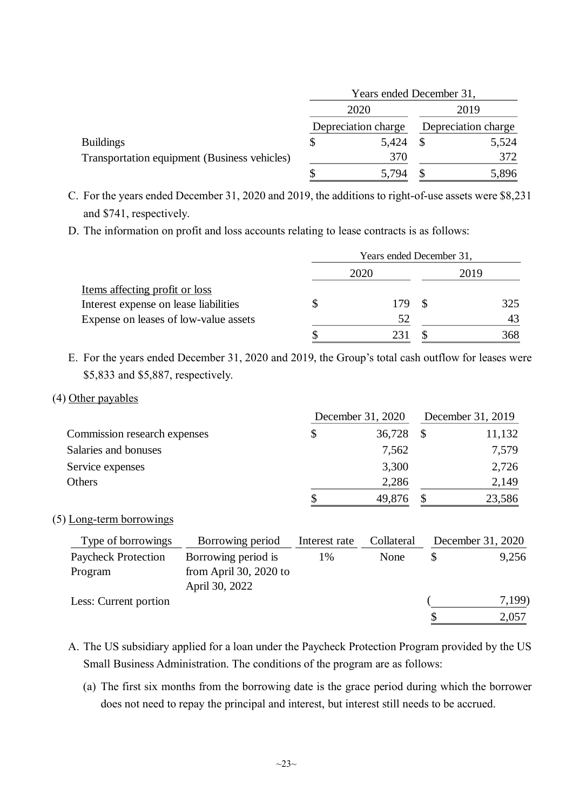|                                              | Years ended December 31, |                     |  |                     |  |  |  |
|----------------------------------------------|--------------------------|---------------------|--|---------------------|--|--|--|
|                                              | 2020                     |                     |  | 2019                |  |  |  |
|                                              |                          | Depreciation charge |  | Depreciation charge |  |  |  |
| <b>Buildings</b>                             |                          | 5,424               |  | 5,524               |  |  |  |
| Transportation equipment (Business vehicles) |                          | 370                 |  | 372                 |  |  |  |
|                                              |                          | 5,794               |  | 5,896               |  |  |  |

C. For the years ended December 31, 2020 and 2019, the additions to right-of-use assets were \$8,231 and \$741, respectively.

D. The information on profit and loss accounts relating to lease contracts is as follows:

|                                       | Years ended December 31, |      |     |      |  |  |
|---------------------------------------|--------------------------|------|-----|------|--|--|
|                                       |                          | 2020 |     | 2019 |  |  |
| Items affecting profit or loss        |                          |      |     |      |  |  |
| Interest expense on lease liabilities |                          | 179  | - S | 325  |  |  |
| Expense on leases of low-value assets |                          | 52   |     | 43   |  |  |
|                                       |                          |      |     | 368  |  |  |

E. For the years ended December 31, 2020 and 2019, the Group's total cash outflow for leases were \$5,833 and \$5,887, respectively.

(4) Other payables

|                              | December 31, 2020 | December 31, 2019 |  |        |
|------------------------------|-------------------|-------------------|--|--------|
| Commission research expenses |                   | 36,728            |  | 11,132 |
| Salaries and bonuses         |                   | 7,562             |  | 7,579  |
| Service expenses             |                   | 3,300             |  | 2,726  |
| Others                       |                   | 2,286             |  | 2,149  |
|                              |                   | 49,876            |  | 23,586 |

#### (5) Long-term borrowings

| Type of borrowings         | Borrowing period                         | Interest rate | Collateral | December 31, 2020 |
|----------------------------|------------------------------------------|---------------|------------|-------------------|
| <b>Paycheck Protection</b> | Borrowing period is                      | 1%            | None       | 9,256             |
| Program                    | from April 30, 2020 to<br>April 30, 2022 |               |            |                   |
| Less: Current portion      |                                          |               |            | 7,199)            |
|                            |                                          |               |            | 2,057             |

- A. The US subsidiary applied for a loan under the Paycheck Protection Program provided by the US Small Business Administration. The conditions of the program are as follows:
	- (a) The first six months from the borrowing date is the grace period during which the borrower does not need to repay the principal and interest, but interest still needs to be accrued.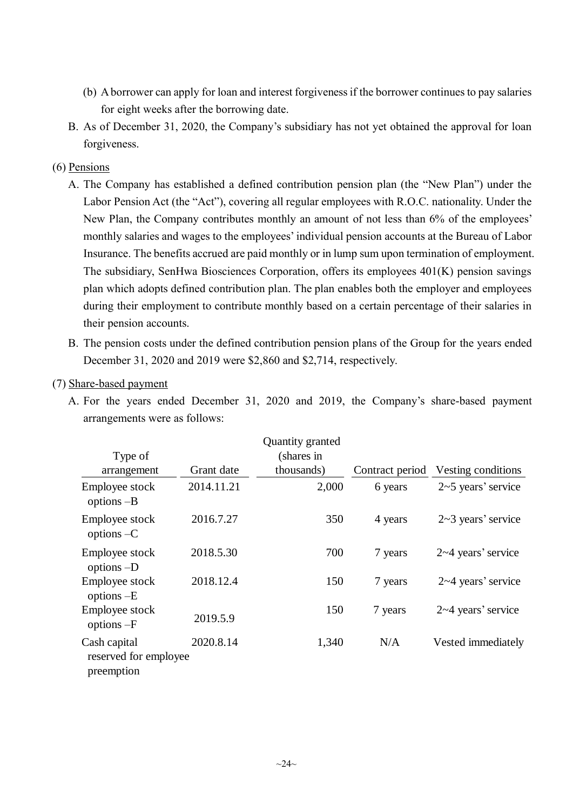- (b) A borrower can apply for loan and interest forgiveness if the borrower continues to pay salaries for eight weeks after the borrowing date.
- B. As of December 31, 2020, the Company's subsidiary has not yet obtained the approval for loan forgiveness.
- (6) Pensions
	- A. The Company has established a defined contribution pension plan (the "New Plan") under the Labor Pension Act (the "Act"), covering all regular employees with R.O.C. nationality. Under the New Plan, the Company contributes monthly an amount of not less than 6% of the employees' monthly salaries and wages to the employees' individual pension accounts at the Bureau of Labor Insurance. The benefits accrued are paid monthly or in lump sum upon termination of employment. The subsidiary, SenHwa Biosciences Corporation, offers its employees 401(K) pension savings plan which adopts defined contribution plan. The plan enables both the employer and employees during their employment to contribute monthly based on a certain percentage of their salaries in their pension accounts.
	- B. The pension costs under the defined contribution pension plans of the Group for the years ended December 31, 2020 and 2019 were \$2,860 and \$2,714, respectively.

#### (7) Share-based payment

A. For the years ended December 31, 2020 and 2019, the Company's share-based payment arrangements were as follows:

|                                                     |            | Quantity granted |                 |                           |
|-----------------------------------------------------|------------|------------------|-----------------|---------------------------|
| Type of                                             |            | (shares in       |                 |                           |
| arrangement                                         | Grant date | thousands)       | Contract period | Vesting conditions        |
| Employee stock<br>options $-B$                      | 2014.11.21 | 2,000            | 6 years         | $2 \sim 5$ years' service |
| Employee stock<br>options $-C$                      | 2016.7.27  | 350              | 4 years         | $2~3$ years' service      |
| Employee stock<br>options $-D$                      | 2018.5.30  | 700              | 7 years         | $2\n-4$ years' service    |
| Employee stock<br>options $-E$                      | 2018.12.4  | 150              | 7 years         | $2 - 4$ years' service    |
| Employee stock<br>options -F                        | 2019.5.9   | 150              | 7 years         | $2\n-4$ years' service    |
| Cash capital<br>reserved for employee<br>preemption | 2020.8.14  | 1,340            | N/A             | Vested immediately        |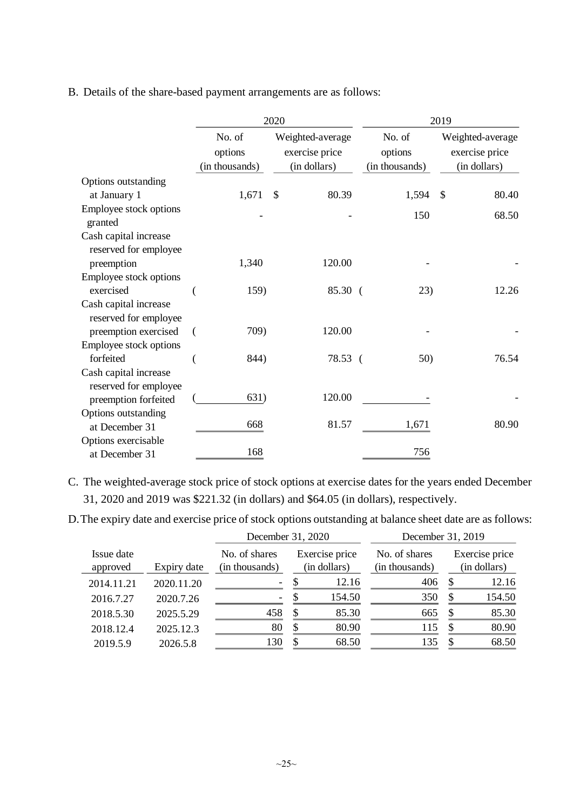B. Details of the share-based payment arrangements are as follows:

|                                                | 2020 |                                     |    | 2019                                               |                                     |               |                                                    |
|------------------------------------------------|------|-------------------------------------|----|----------------------------------------------------|-------------------------------------|---------------|----------------------------------------------------|
|                                                |      | No. of<br>options<br>(in thousands) |    | Weighted-average<br>exercise price<br>(in dollars) | No. of<br>options<br>(in thousands) |               | Weighted-average<br>exercise price<br>(in dollars) |
| Options outstanding                            |      |                                     |    |                                                    |                                     |               |                                                    |
| at January 1                                   |      | 1,671                               | \$ | 80.39                                              | 1,594                               | $\mathcal{S}$ | 80.40                                              |
| Employee stock options<br>granted              |      |                                     |    |                                                    | 150                                 |               | 68.50                                              |
| Cash capital increase<br>reserved for employee |      |                                     |    |                                                    |                                     |               |                                                    |
| preemption                                     |      | 1,340                               |    | 120.00                                             |                                     |               |                                                    |
| Employee stock options                         |      |                                     |    |                                                    |                                     |               |                                                    |
| exercised                                      |      | 159)                                |    | 85.30 (                                            | 23)                                 |               | 12.26                                              |
| Cash capital increase<br>reserved for employee |      |                                     |    |                                                    |                                     |               |                                                    |
| preemption exercised                           |      | 709)                                |    | 120.00                                             |                                     |               |                                                    |
| Employee stock options                         |      |                                     |    |                                                    |                                     |               |                                                    |
| forfeited                                      |      | 844)                                |    | 78.53 (                                            | 50)                                 |               | 76.54                                              |
| Cash capital increase<br>reserved for employee |      |                                     |    |                                                    |                                     |               |                                                    |
| preemption forfeited                           |      | 631)                                |    | 120.00                                             |                                     |               |                                                    |
| Options outstanding                            |      |                                     |    |                                                    |                                     |               |                                                    |
| at December 31                                 |      | 668                                 |    | 81.57                                              | 1,671                               |               | 80.90                                              |
| Options exercisable                            |      |                                     |    |                                                    |                                     |               |                                                    |
| at December 31                                 |      | 168                                 |    |                                                    | 756                                 |               |                                                    |

C. The weighted-average stock price of stock options at exercise dates for the years ended December 31, 2020 and 2019 was \$221.32 (in dollars) and \$64.05 (in dollars), respectively.

D.The expiry date and exercise price of stock options outstanding at balance sheet date are as follows:

|                        |             | December 31, 2020               |     |                                | December 31, 2019               |   |                                |
|------------------------|-------------|---------------------------------|-----|--------------------------------|---------------------------------|---|--------------------------------|
| Issue date<br>approved | Expiry date | No. of shares<br>(in thousands) |     | Exercise price<br>(in dollars) | No. of shares<br>(in thousands) |   | Exercise price<br>(in dollars) |
| 2014.11.21             | 2020.11.20  |                                 |     | 12.16                          | 406                             |   | 12.16                          |
| 2016.7.27              | 2020.7.26   |                                 |     | 154.50                         | 350                             | S | 154.50                         |
| 2018.5.30              | 2025.5.29   | 458                             | \$. | 85.30                          | 665                             |   | 85.30                          |
| 2018.12.4              | 2025.12.3   | 80                              |     | 80.90                          | 115                             | S | 80.90                          |
| 2019.5.9               | 2026.5.8    | 130                             | \$  | 68.50                          | 135                             | S | 68.50                          |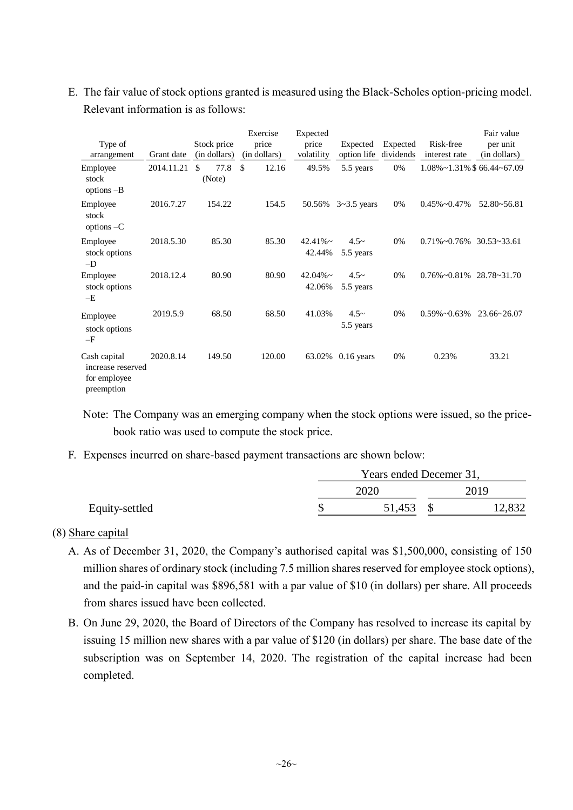| Type of<br>arrangement                                          | Grant date | Stock price<br>(in dollars) | Exercise<br>price<br>(in dollars) | Expected<br>price<br>volatility | Expected<br>option life | Expected<br>dividends | Risk-free<br>interest rate          | Fair value<br>per unit<br>(in dollars) |
|-----------------------------------------------------------------|------------|-----------------------------|-----------------------------------|---------------------------------|-------------------------|-----------------------|-------------------------------------|----------------------------------------|
| Employee<br>stock<br>options $-B$                               | 2014.11.21 | 77.8<br>\$<br>(Note)        | \$<br>12.16                       | 49.5%                           | 5.5 years               | 0%                    | $1.08\% \sim 1.31\%$ \$ 66.44~67.09 |                                        |
| Employee<br>stock<br>options $-C$                               | 2016.7.27  | 154.22                      | 154.5                             |                                 | 50.56% 3~3.5 years      | 0%                    | $0.45\% \sim 0.47\%$                | 52.80~56.81                            |
| Employee<br>stock options<br>$-D$                               | 2018.5.30  | 85.30                       | 85.30                             | $42.41\%$ ~<br>42.44%           | $4.5-$<br>5.5 years     | 0%                    | $0.71\% \sim 0.76\%$                | $30.53 - 33.61$                        |
| Employee<br>stock options<br>$-E$                               | 2018.12.4  | 80.90                       | 80.90                             | $42.04\%$ ~<br>42.06%           | $4.5-$<br>5.5 years     | 0%                    | $0.76\% \sim 0.81\%$ 28.78~31.70    |                                        |
| Employee<br>stock options<br>$-F$                               | 2019.5.9   | 68.50                       | 68.50                             | 41.03%                          | $4.5-$<br>5.5 years     | 0%                    | $0.59\% \sim 0.63\%$                | $23.66 - 26.07$                        |
| Cash capital<br>increase reserved<br>for employee<br>preemption | 2020.8.14  | 149.50                      | 120.00                            | 63.02%                          | $0.16$ years            | 0%                    | 0.23%                               | 33.21                                  |

E. The fair value of stock options granted is measured using the Black-Scholes option-pricing model. Relevant information is as follows:

Note: The Company was an emerging company when the stock options were issued, so the pricebook ratio was used to compute the stock price.

F. Expenses incurred on share-based payment transactions are shown below:

|                | Years ended Decemer 31, |        |  |        |  |
|----------------|-------------------------|--------|--|--------|--|
|                |                         | 2019   |  |        |  |
| Equity-settled |                         | 51,453 |  | 12,832 |  |

#### (8) Share capital

- A. As of December 31, 2020, the Company's authorised capital was \$1,500,000, consisting of 150 million shares of ordinary stock (including 7.5 million shares reserved for employee stock options), and the paid-in capital was \$896,581 with a par value of \$10 (in dollars) per share. All proceeds from shares issued have been collected.
- B. On June 29, 2020, the Board of Directors of the Company has resolved to increase its capital by issuing 15 million new shares with a par value of \$120 (in dollars) per share. The base date of the subscription was on September 14, 2020. The registration of the capital increase had been completed.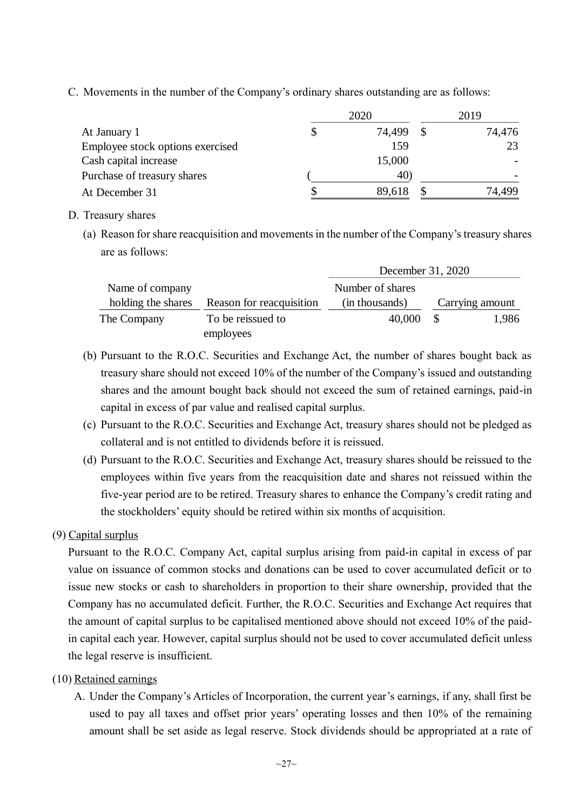C. Movements in the number of the Company's ordinary shares outstanding are as follows:

|                                  | 2020   | 2019 |        |
|----------------------------------|--------|------|--------|
| At January 1                     | 74,499 |      | 74,476 |
| Employee stock options exercised | 159    |      | 23     |
| Cash capital increase            | 15,000 |      |        |
| Purchase of treasury shares      | 40)    |      |        |
| At December 31                   | 89,618 |      | 74,499 |

#### D. Treasury shares

(a) Reason for share reacquisition and movements in the number of the Company's treasury shares are as follows:

|                    |                          | December 31, 2020 |                 |
|--------------------|--------------------------|-------------------|-----------------|
| Name of company    |                          | Number of shares  |                 |
| holding the shares | Reason for reacquisition | (in thousands)    | Carrying amount |
| The Company        | To be reissued to        | 40,000            | 1,986<br>-S     |
|                    | employees                |                   |                 |

- (b) Pursuant to the R.O.C. Securities and Exchange Act, the number of shares bought back as treasury share should not exceed 10% of the number of the Company's issued and outstanding shares and the amount bought back should not exceed the sum of retained earnings, paid-in capital in excess of par value and realised capital surplus.
- (c) Pursuant to the R.O.C. Securities and Exchange Act, treasury shares should not be pledged as collateral and is not entitled to dividends before it is reissued.
- (d) Pursuant to the R.O.C. Securities and Exchange Act, treasury shares should be reissued to the employees within five years from the reacquisition date and shares not reissued within the five-year period are to be retired. Treasury shares to enhance the Company's credit rating and the stockholders' equity should be retired within six months of acquisition.

#### (9) Capital surplus

Pursuant to the R.O.C. Company Act, capital surplus arising from paid-in capital in excess of par value on issuance of common stocks and donations can be used to cover accumulated deficit or to issue new stocks or cash to shareholders in proportion to their share ownership, provided that the Company has no accumulated deficit. Further, the R.O.C. Securities and Exchange Act requires that the amount of capital surplus to be capitalised mentioned above should not exceed 10% of the paidin capital each year. However, capital surplus should not be used to cover accumulated deficit unless the legal reserve is insufficient.

#### (10) Retained earnings

A. Under the Company's Articles of Incorporation, the current year's earnings, if any, shall first be used to pay all taxes and offset prior years' operating losses and then 10% of the remaining amount shall be set aside as legal reserve. Stock dividends should be appropriated at a rate of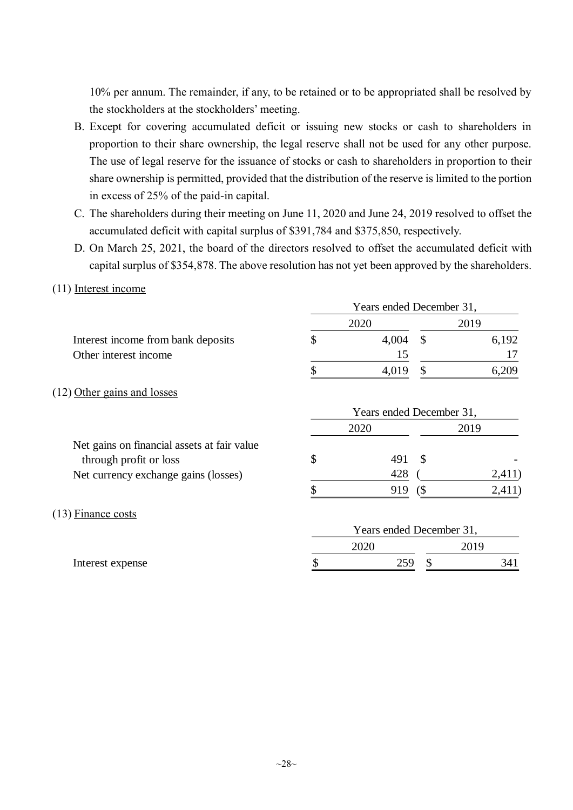10% per annum. The remainder, if any, to be retained or to be appropriated shall be resolved by the stockholders at the stockholders' meeting.

- B. Except for covering accumulated deficit or issuing new stocks or cash to shareholders in proportion to their share ownership, the legal reserve shall not be used for any other purpose. The use of legal reserve for the issuance of stocks or cash to shareholders in proportion to their share ownership is permitted, provided that the distribution of the reserve is limited to the portion in excess of 25% of the paid-in capital.
- C. The shareholders during their meeting on June 11, 2020 and June 24, 2019 resolved to offset the accumulated deficit with capital surplus of \$391,784 and \$375,850, respectively.
- D. On March 25, 2021, the board of the directors resolved to offset the accumulated deficit with capital surplus of \$354,878. The above resolution has not yet been approved by the shareholders.

#### (11) Interest income

|             |                     | 2019                                                      |
|-------------|---------------------|-----------------------------------------------------------|
| \$<br>4,004 | $\mathbb{S}$        | 6,192                                                     |
| 15          |                     | 17                                                        |
| 4,019       | \$                  | 6,209                                                     |
|             |                     |                                                           |
|             |                     |                                                           |
|             |                     | 2019                                                      |
|             |                     |                                                           |
| 428         |                     | 2,411)                                                    |
| 919         | $($ \$              | 2,411)                                                    |
|             |                     |                                                           |
| \$          | 2020<br>2020<br>491 | Years ended December 31,<br>Years ended December 31,<br>S |

|     | 2019 |
|-----|------|
|     |      |
| 259 |      |
|     |      |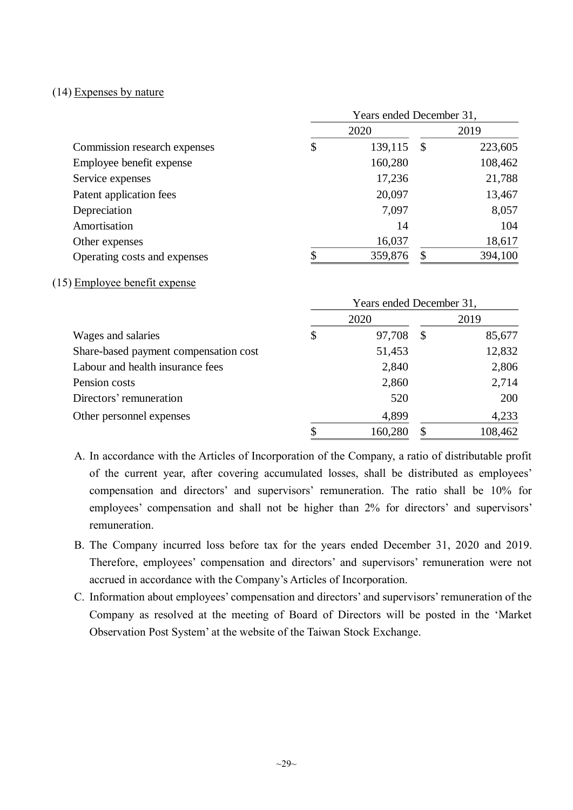#### (14) Expenses by nature

|                              | Years ended December 31, |         |      |         |  |  |
|------------------------------|--------------------------|---------|------|---------|--|--|
| Commission research expenses |                          | 2020    | 2019 |         |  |  |
|                              | \$                       | 139,115 | -S   | 223,605 |  |  |
| Employee benefit expense     |                          | 160,280 |      | 108,462 |  |  |
| Service expenses             |                          | 17,236  |      | 21,788  |  |  |
| Patent application fees      |                          | 20,097  |      | 13,467  |  |  |
| Depreciation                 |                          | 7,097   |      | 8,057   |  |  |
| Amortisation                 |                          | 14      |      | 104     |  |  |
| Other expenses               |                          | 16,037  |      | 18,617  |  |  |
| Operating costs and expenses | ¢                        | 359,876 | S    | 394,100 |  |  |

#### (15) Employee benefit expense

|                                       | Years ended December 31, |         |               |         |  |
|---------------------------------------|--------------------------|---------|---------------|---------|--|
|                                       |                          | 2020    |               | 2019    |  |
| Wages and salaries                    | \$                       | 97,708  | <sup>\$</sup> | 85,677  |  |
| Share-based payment compensation cost |                          | 51,453  |               | 12,832  |  |
| Labour and health insurance fees      |                          | 2,840   |               | 2,806   |  |
| Pension costs                         |                          | 2,860   |               | 2,714   |  |
| Directors' remuneration               |                          | 520     |               | 200     |  |
| Other personnel expenses              |                          | 4,899   |               | 4,233   |  |
|                                       | \$                       | 160,280 |               | 108,462 |  |

- A. In accordance with the Articles of Incorporation of the Company, a ratio of distributable profit of the current year, after covering accumulated losses, shall be distributed as employees' compensation and directors' and supervisors' remuneration. The ratio shall be 10% for employees' compensation and shall not be higher than 2% for directors' and supervisors' remuneration.
- B. The Company incurred loss before tax for the years ended December 31, 2020 and 2019. Therefore, employees' compensation and directors' and supervisors' remuneration were not accrued in accordance with the Company's Articles of Incorporation.
- C. Information about employees' compensation and directors' and supervisors' remuneration of the Company as resolved at the meeting of Board of Directors will be posted in the 'Market Observation Post System' at the website of the Taiwan Stock Exchange.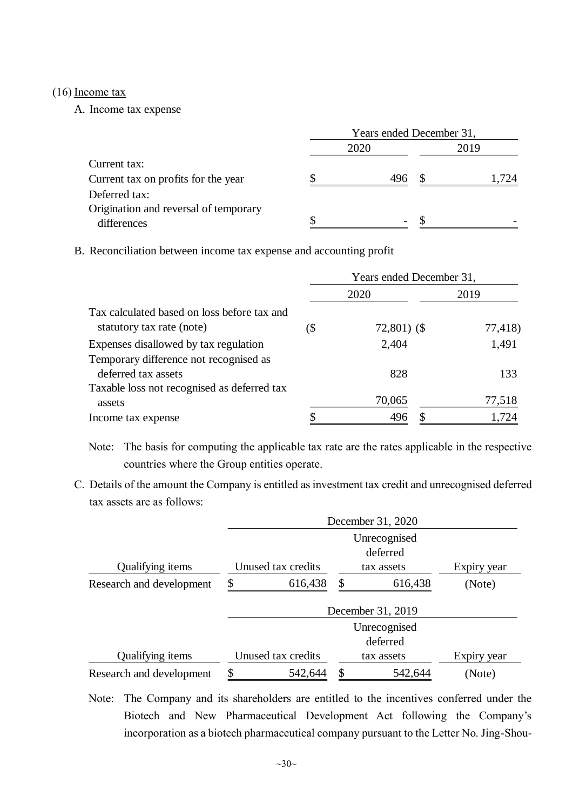#### (16) Income tax

A. Income tax expense

|                                       | Years ended December 31, |      |  |       |  |  |
|---------------------------------------|--------------------------|------|--|-------|--|--|
|                                       |                          | 2020 |  | 2019  |  |  |
| Current tax:                          |                          |      |  |       |  |  |
| Current tax on profits for the year   |                          | 496  |  | 1,724 |  |  |
| Deferred tax:                         |                          |      |  |       |  |  |
| Origination and reversal of temporary |                          |      |  |       |  |  |
| differences                           |                          | -    |  |       |  |  |

B. Reconciliation between income tax expense and accounting profit

|                                                                          | Years ended December 31, |                |  |         |  |
|--------------------------------------------------------------------------|--------------------------|----------------|--|---------|--|
|                                                                          |                          | 2020           |  | 2019    |  |
| Tax calculated based on loss before tax and<br>statutory tax rate (note) | (\$                      | $72,801)$ (\$) |  | 77,418) |  |
| Expenses disallowed by tax regulation                                    |                          | 2,404          |  | 1,491   |  |
| Temporary difference not recognised as                                   |                          |                |  |         |  |
| deferred tax assets                                                      |                          | 828            |  | 133     |  |
| Taxable loss not recognised as deferred tax                              |                          |                |  |         |  |
| assets                                                                   |                          | 70,065         |  | 77,518  |  |
| Income tax expense                                                       |                          | 496            |  | 1,724   |  |

Note: The basis for computing the applicable tax rate are the rates applicable in the respective countries where the Group entities operate.

C. Details of the amount the Company is entitled as investment tax credit and unrecognised deferred tax assets are as follows:

|                          | December 31, 2020                               |                    |                          |              |             |  |
|--------------------------|-------------------------------------------------|--------------------|--------------------------|--------------|-------------|--|
|                          |                                                 |                    | Unrecognised<br>deferred |              |             |  |
| Qualifying items         | Unused tax credits<br>Expiry year<br>tax assets |                    |                          |              |             |  |
| Research and development | \$                                              | 616,438            | \$                       | 616,438      | (Note)      |  |
|                          | December 31, 2019                               |                    |                          |              |             |  |
|                          |                                                 |                    |                          | Unrecognised |             |  |
|                          |                                                 |                    |                          | deferred     |             |  |
| Qualifying items         |                                                 | Unused tax credits |                          | tax assets   | Expiry year |  |
| Research and development | \$                                              | 542,644            | \$                       | 542,644      | (Note)      |  |

Note: The Company and its shareholders are entitled to the incentives conferred under the Biotech and New Pharmaceutical Development Act following the Company's incorporation as a biotech pharmaceutical company pursuant to the Letter No. Jing-Shou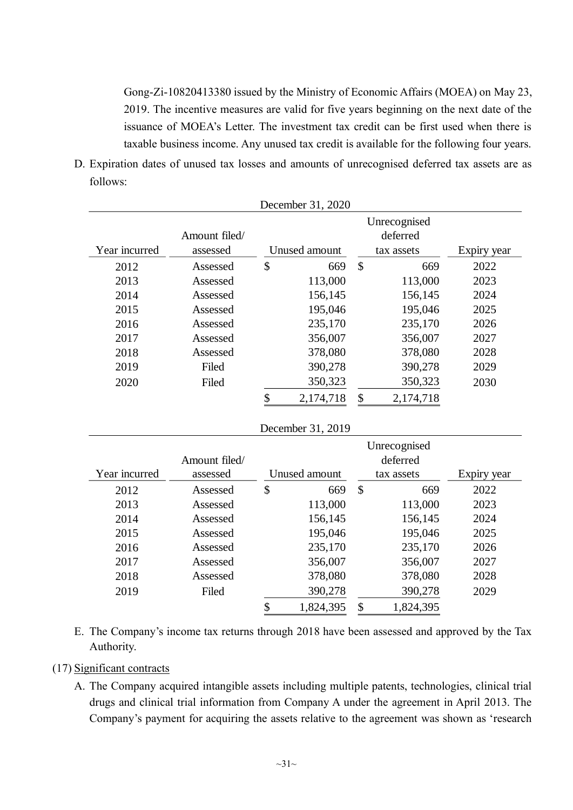Gong-Zi-10820413380 issued by the Ministry of Economic Affairs (MOEA) on May 23, 2019. The incentive measures are valid for five years beginning on the next date of the issuance of MOEA's Letter. The investment tax credit can be first used when there is taxable business income. Any unused tax credit is available for the following four years.

D. Expiration dates of unused tax losses and amounts of unrecognised deferred tax assets are as follows:

|                   |               |    | December 31, 2020 |               |              |             |
|-------------------|---------------|----|-------------------|---------------|--------------|-------------|
|                   |               |    |                   |               | Unrecognised |             |
|                   | Amount filed/ |    |                   |               | deferred     |             |
| Year incurred     | assessed      |    | Unused amount     |               | tax assets   | Expiry year |
| 2012              | Assessed      | \$ | 669               | $\mathcal{S}$ | 669          | 2022        |
| 2013              | Assessed      |    | 113,000           |               | 113,000      | 2023        |
| 2014              | Assessed      |    | 156,145           |               | 156,145      | 2024        |
| 2015              | Assessed      |    | 195,046           |               | 195,046      | 2025        |
| 2016              | Assessed      |    | 235,170           |               | 235,170      | 2026        |
| 2017              | Assessed      |    | 356,007           |               | 356,007      | 2027        |
| 2018              | Assessed      |    | 378,080           |               | 378,080      | 2028        |
| 2019              | Filed         |    | 390,278           |               | 390,278      | 2029        |
| 2020              | Filed         |    | 350,323           |               | 350,323      | 2030        |
|                   |               | \$ | 2,174,718         | \$            | 2,174,718    |             |
|                   |               |    |                   |               |              |             |
| December 31, 2019 |               |    |                   |               |              |             |
|                   |               |    |                   |               |              |             |
|                   |               |    |                   |               | Unrecognised |             |
|                   | Amount filed/ |    |                   |               | deferred     |             |
| Year incurred     | assessed      |    | Unused amount     |               | tax assets   | Expiry year |
| 2012              | Assessed      | \$ | 669               | $\mathcal{S}$ | 669          | 2022        |
| 2013              | Assessed      |    | 113,000           |               | 113,000      | 2023        |
| 2014              | Assessed      |    | 156,145           |               | 156,145      | 2024        |
| 2015              | Assessed      |    | 195,046           |               | 195,046      | 2025        |
| 2016              | Assessed      |    | 235,170           |               | 235,170      | 2026        |
| 2017              | Assessed      |    | 356,007           |               | 356,007      | 2027        |
| 2018              | Assessed      |    | 378,080           |               | 378,080      | 2028        |
| 2019              | Filed         |    | 390,278           |               | 390,278      | 2029        |

- E. The Company's income tax returns through 2018 have been assessed and approved by the Tax Authority.
- (17) Significant contracts
	- A. The Company acquired intangible assets including multiple patents, technologies, clinical trial drugs and clinical trial information from Company A under the agreement in April 2013. The Company's payment for acquiring the assets relative to the agreement was shown as 'research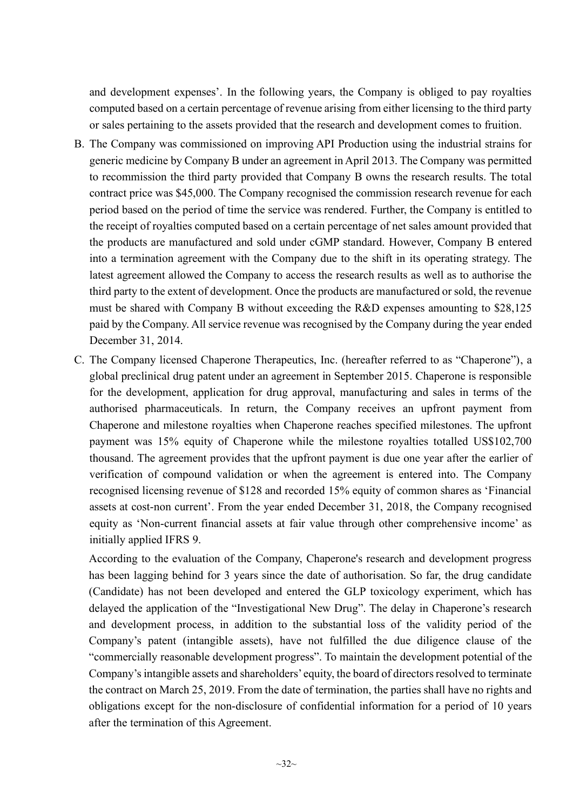and development expenses'. In the following years, the Company is obliged to pay royalties computed based on a certain percentage of revenue arising from either licensing to the third party or sales pertaining to the assets provided that the research and development comes to fruition.

- B. The Company was commissioned on improving API Production using the industrial strains for generic medicine by Company B under an agreement in April 2013. The Company was permitted to recommission the third party provided that Company B owns the research results. The total contract price was \$45,000. The Company recognised the commission research revenue for each period based on the period of time the service was rendered. Further, the Company is entitled to the receipt of royalties computed based on a certain percentage of net sales amount provided that the products are manufactured and sold under cGMP standard. However, Company B entered into a termination agreement with the Company due to the shift in its operating strategy. The latest agreement allowed the Company to access the research results as well as to authorise the third party to the extent of development. Once the products are manufactured or sold, the revenue must be shared with Company B without exceeding the R&D expenses amounting to \$28,125 paid by the Company. All service revenue was recognised by the Company during the year ended December 31, 2014.
- C. The Company licensed Chaperone Therapeutics, Inc. (hereafter referred to as "Chaperone"), a global preclinical drug patent under an agreement in September 2015. Chaperone is responsible for the development, application for drug approval, manufacturing and sales in terms of the authorised pharmaceuticals. In return, the Company receives an upfront payment from Chaperone and milestone royalties when Chaperone reaches specified milestones. The upfront payment was 15% equity of Chaperone while the milestone royalties totalled US\$102,700 thousand. The agreement provides that the upfront payment is due one year after the earlier of verification of compound validation or when the agreement is entered into. The Company recognised licensing revenue of \$128 and recorded 15% equity of common shares as 'Financial assets at cost-non current'. From the year ended December 31, 2018, the Company recognised equity as 'Non-current financial assets at fair value through other comprehensive income' as initially applied IFRS 9.

According to the evaluation of the Company, Chaperone's research and development progress has been lagging behind for 3 years since the date of authorisation. So far, the drug candidate (Candidate) has not been developed and entered the GLP toxicology experiment, which has delayed the application of the "Investigational New Drug". The delay in Chaperone's research and development process, in addition to the substantial loss of the validity period of the Company's patent (intangible assets), have not fulfilled the due diligence clause of the "commercially reasonable development progress". To maintain the development potential of the Company's intangible assets and shareholders' equity, the board of directors resolved to terminate the contract on March 25, 2019. From the date of termination, the parties shall have no rights and obligations except for the non-disclosure of confidential information for a period of 10 years after the termination of this Agreement.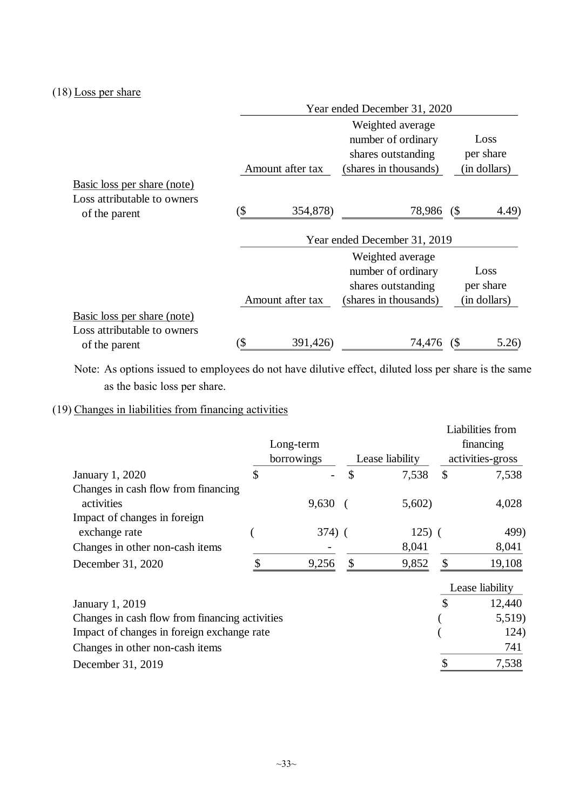| Year ended December 31, 2020                                                |     |                  |                                                                                       |                                    |
|-----------------------------------------------------------------------------|-----|------------------|---------------------------------------------------------------------------------------|------------------------------------|
|                                                                             |     | Amount after tax | Weighted average<br>number of ordinary<br>shares outstanding<br>(shares in thousands) | Loss<br>per share<br>(in dollars)  |
| Basic loss per share (note)<br>Loss attributable to owners<br>of the parent | (\$ | 354,878)         | 78,986                                                                                | (<br>4.49                          |
|                                                                             |     |                  | Year ended December 31, 2019                                                          |                                    |
|                                                                             |     | Amount after tax | Weighted average<br>number of ordinary<br>shares outstanding<br>(shares in thousands) | Loss<br>per share<br>(in dollars)  |
| Basic loss per share (note)                                                 |     |                  |                                                                                       |                                    |
| Loss attributable to owners<br>of the parent                                | (\$ | 391,426)         | 74,476                                                                                | 5.26<br>$\left( \text{\$} \right)$ |

Note: As options issued to employees do not have dilutive effect, diluted loss per share is the same as the basic loss per share.

## (19) Changes in liabilities from financing activities

|                                                |            |               |                 |               | Liabilities from |
|------------------------------------------------|------------|---------------|-----------------|---------------|------------------|
|                                                | Long-term  |               |                 |               | financing        |
|                                                | borrowings |               | Lease liability |               | activities-gross |
| January 1, 2020                                | \$         | $\mathcal{S}$ | 7,538           | $\mathcal{S}$ | 7,538            |
| Changes in cash flow from financing            |            |               |                 |               |                  |
| activities                                     | 9,630      |               | 5,602)          |               | 4,028            |
| Impact of changes in foreign                   |            |               |                 |               |                  |
| exchange rate                                  | $374)$ (   |               | $125)$ (        |               | 499)             |
| Changes in other non-cash items                |            |               | 8,041           |               | 8,041            |
| December 31, 2020                              | 9,256      | \$            | 9,852           | \$            | 19,108           |
|                                                |            |               |                 |               | Lease liability  |
| January 1, 2019                                |            |               |                 | \$            | 12,440           |
| Changes in cash flow from financing activities |            |               |                 |               | 5,519)           |
| Impact of changes in foreign exchange rate     |            |               |                 |               | 124)             |
| Changes in other non-cash items                |            |               |                 |               | 741              |
| December 31, 2019                              |            |               |                 | \$            | 7,538            |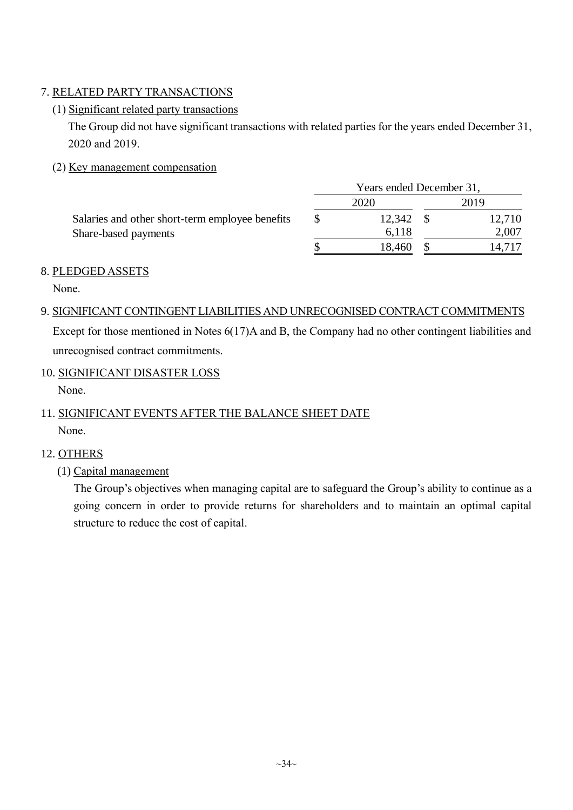## 7. RELATED PARTY TRANSACTIONS

### (1) Significant related party transactions

The Group did not have significant transactions with related parties for the years ended December 31, 2020 and 2019.

(2) Key management compensation

|                                                 | Years ended December 31, |        |  |        |  |
|-------------------------------------------------|--------------------------|--------|--|--------|--|
|                                                 |                          | 2020   |  | 2019   |  |
| Salaries and other short-term employee benefits |                          | 12,342 |  | 12,710 |  |
| Share-based payments                            |                          | 6.118  |  | 2,007  |  |
|                                                 |                          | 18,460 |  | 14.717 |  |

### 8. PLEDGED ASSETS

None.

## 9. SIGNIFICANT CONTINGENT LIABILITIES AND UNRECOGNISED CONTRACT COMMITMENTS

Except for those mentioned in Notes 6(17)A and B, the Company had no other contingent liabilities and unrecognised contract commitments.

### 10. SIGNIFICANT DISASTER LOSS

None.

## 11. SIGNIFICANT EVENTS AFTER THE BALANCE SHEET DATE None.

12. OTHERS

## (1) Capital management

The Group's objectives when managing capital are to safeguard the Group's ability to continue as a going concern in order to provide returns for shareholders and to maintain an optimal capital structure to reduce the cost of capital.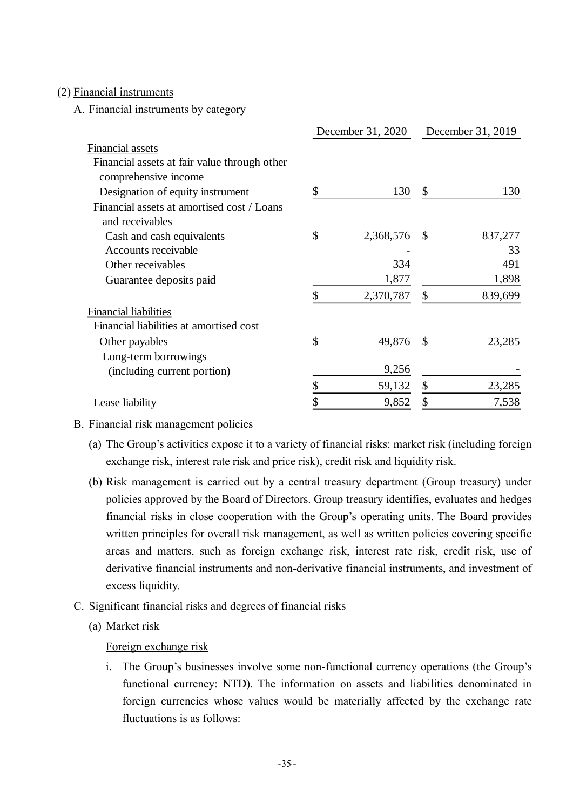(2) Financial instruments

A. Financial instruments by category

|                                                               |    | December 31, 2020 |              | December 31, 2019 |  |
|---------------------------------------------------------------|----|-------------------|--------------|-------------------|--|
| Financial assets                                              |    |                   |              |                   |  |
| Financial assets at fair value through other                  |    |                   |              |                   |  |
| comprehensive income                                          |    |                   |              |                   |  |
| Designation of equity instrument                              |    | 130               | \$           | 130               |  |
| Financial assets at amortised cost / Loans<br>and receivables |    |                   |              |                   |  |
| Cash and cash equivalents                                     | \$ | 2,368,576         | $\mathbb{S}$ | 837,277           |  |
| Accounts receivable                                           |    |                   |              | 33                |  |
| Other receivables                                             |    | 334               |              | 491               |  |
| Guarantee deposits paid                                       |    | 1,877             |              | 1,898             |  |
|                                                               |    | 2,370,787         | \$           | 839,699           |  |
| <b>Financial liabilities</b>                                  |    |                   |              |                   |  |
| Financial liabilities at amortised cost                       |    |                   |              |                   |  |
| Other payables                                                | \$ | 49,876            | \$           | 23,285            |  |
| Long-term borrowings                                          |    |                   |              |                   |  |
| (including current portion)                                   |    | 9,256             |              |                   |  |
|                                                               | \$ | 59,132            | \$           | 23,285            |  |
| Lease liability                                               |    | 9,852             | \$           | 7,538             |  |

- B. Financial risk management policies
	- (a) The Group's activities expose it to a variety of financial risks: market risk (including foreign exchange risk, interest rate risk and price risk), credit risk and liquidity risk.
	- (b) Risk management is carried out by a central treasury department (Group treasury) under policies approved by the Board of Directors. Group treasury identifies, evaluates and hedges financial risks in close cooperation with the Group's operating units. The Board provides written principles for overall risk management, as well as written policies covering specific areas and matters, such as foreign exchange risk, interest rate risk, credit risk, use of derivative financial instruments and non-derivative financial instruments, and investment of excess liquidity.
- C. Significant financial risks and degrees of financial risks
	- (a) Market risk

Foreign exchange risk

i. The Group's businesses involve some non-functional currency operations (the Group's functional currency: NTD). The information on assets and liabilities denominated in foreign currencies whose values would be materially affected by the exchange rate fluctuations is as follows: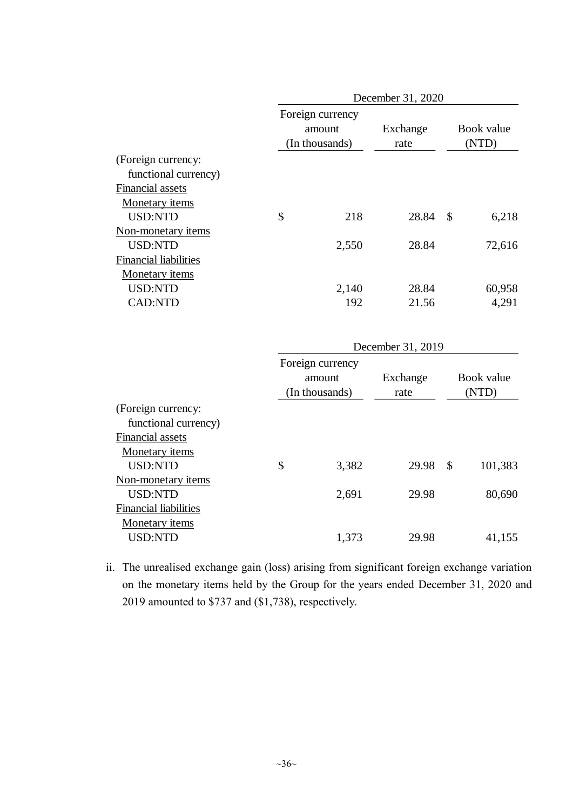|                                                                | December 31, 2020 |                                              |                   |                     |         |
|----------------------------------------------------------------|-------------------|----------------------------------------------|-------------------|---------------------|---------|
|                                                                |                   | Foreign currency<br>amount<br>(In thousands) |                   | Book value<br>(NTD) |         |
| (Foreign currency:<br>functional currency)<br>Financial assets |                   |                                              |                   |                     |         |
| Monetary items<br><b>USD:NTD</b>                               | \$                | 218                                          | 28.84             | $\mathcal{S}$       | 6,218   |
| Non-monetary items                                             |                   |                                              |                   |                     |         |
| <b>USD:NTD</b>                                                 |                   | 2,550                                        | 28.84             |                     | 72,616  |
| <b>Financial liabilities</b><br>Monetary items                 |                   |                                              |                   |                     |         |
| <b>USD:NTD</b>                                                 |                   | 2,140                                        | 28.84             |                     | 60,958  |
| <b>CAD:NTD</b>                                                 |                   | 192                                          | 21.56             |                     | 4,291   |
|                                                                |                   |                                              | December 31, 2019 |                     |         |
|                                                                |                   | Foreign currency                             |                   |                     |         |
|                                                                |                   | amount                                       | Exchange          | Book value          |         |
|                                                                |                   | (In thousands)                               | rate              |                     | (NTD)   |
| (Foreign currency:                                             |                   |                                              |                   |                     |         |
| functional currency)<br><b>Financial assets</b>                |                   |                                              |                   |                     |         |
| <b>Monetary</b> items                                          |                   |                                              |                   |                     |         |
| <b>USD:NTD</b>                                                 | \$                | 3,382                                        | 29.98             | \$                  | 101,383 |
| Non-monetary items                                             |                   |                                              |                   |                     |         |
| <b>USD:NTD</b>                                                 |                   | 2,691                                        | 29.98             |                     | 80,690  |
| <b>Financial liabilities</b>                                   |                   |                                              |                   |                     |         |
| Monetary items                                                 |                   |                                              |                   |                     |         |
| <b>USD:NTD</b>                                                 |                   | 1,373                                        | 29.98             |                     | 41,155  |

ii. The unrealised exchange gain (loss) arising from significant foreign exchange variation on the monetary items held by the Group for the years ended December 31, 2020 and 2019 amounted to \$737 and (\$1,738), respectively.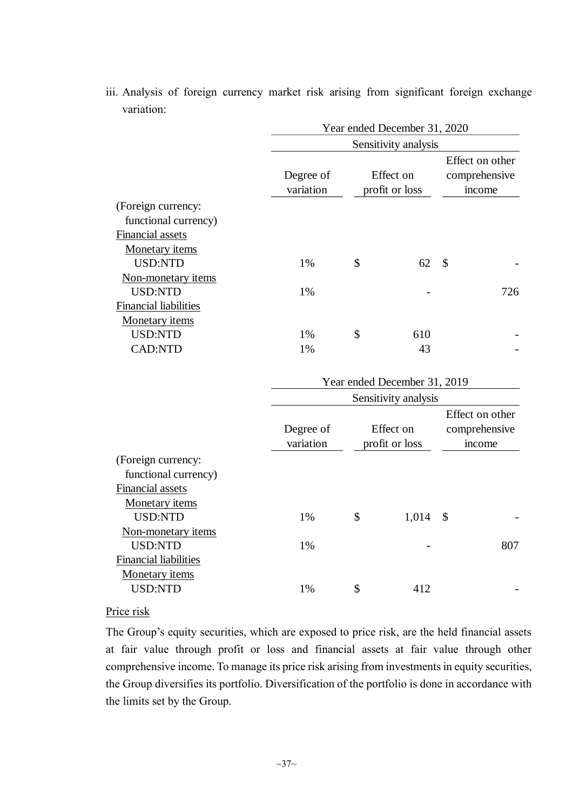|                              |                        | Year ended December 31, 2020 |                              |                                            |                 |  |
|------------------------------|------------------------|------------------------------|------------------------------|--------------------------------------------|-----------------|--|
|                              |                        | Sensitivity analysis         |                              |                                            |                 |  |
|                              | Degree of<br>variation | Effect on<br>profit or loss  |                              | Effect on other<br>comprehensive<br>income |                 |  |
| (Foreign currency:           |                        |                              |                              |                                            |                 |  |
| functional currency)         |                        |                              |                              |                                            |                 |  |
| Financial assets             |                        |                              |                              |                                            |                 |  |
| <b>Monetary</b> items        |                        |                              |                              |                                            |                 |  |
| <b>USD:NTD</b>               | 1%                     | \$                           | 62                           | \$                                         |                 |  |
| Non-monetary items           |                        |                              |                              |                                            |                 |  |
| <b>USD:NTD</b>               | 1%                     |                              |                              |                                            | 726             |  |
| <b>Financial liabilities</b> |                        |                              |                              |                                            |                 |  |
| Monetary items               |                        |                              |                              |                                            |                 |  |
| <b>USD:NTD</b>               | 1%                     | \$                           | 610                          |                                            |                 |  |
| <b>CAD:NTD</b>               | 1%                     |                              | 43                           |                                            |                 |  |
|                              |                        |                              | Year ended December 31, 2019 |                                            |                 |  |
|                              |                        |                              | Sensitivity analysis         |                                            |                 |  |
|                              |                        |                              |                              |                                            | Effect on other |  |
|                              | Degree of              |                              | Effect on                    |                                            | comprehensive   |  |
|                              | variation              |                              | profit or loss               | income                                     |                 |  |
| (Foreign currency:           |                        |                              |                              |                                            |                 |  |
| functional currency)         |                        |                              |                              |                                            |                 |  |
| <b>Financial assets</b>      |                        |                              |                              |                                            |                 |  |
| <b>Monetary</b> items        |                        |                              |                              |                                            |                 |  |
| <b>USD:NTD</b>               | 1%                     | \$                           | 1,014                        | \$                                         |                 |  |
| Non-monetary items           |                        |                              |                              |                                            |                 |  |
| <b>USD:NTD</b>               | 1%                     |                              |                              |                                            | 807             |  |
| <b>Financial liabilities</b> |                        |                              |                              |                                            |                 |  |

iii. Analysis of foreign currency market risk arising from significant foreign exchange variation:

#### Price risk

Monetary items

The Group's equity securities, which are exposed to price risk, are the held financial assets at fair value through profit or loss and financial assets at fair value through other comprehensive income. To manage its price risk arising from investments in equity securities, the Group diversifies its portfolio. Diversification of the portfolio is done in accordance with the limits set by the Group.

USD:NTD 1% \$ 412 -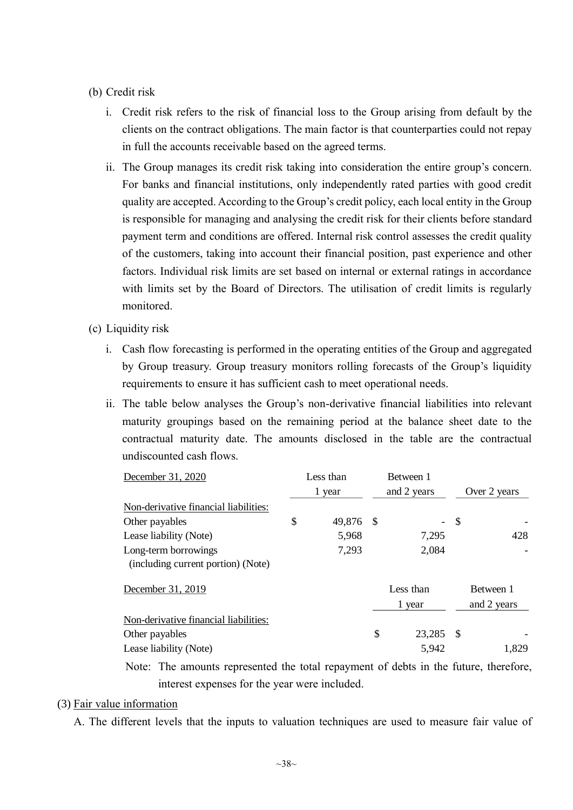#### (b) Credit risk

- i. Credit risk refers to the risk of financial loss to the Group arising from default by the clients on the contract obligations. The main factor is that counterparties could not repay in full the accounts receivable based on the agreed terms.
- ii. The Group manages its credit risk taking into consideration the entire group's concern. For banks and financial institutions, only independently rated parties with good credit quality are accepted. According to the Group's credit policy, each local entity in the Group is responsible for managing and analysing the credit risk for their clients before standard payment term and conditions are offered. Internal risk control assesses the credit quality of the customers, taking into account their financial position, past experience and other factors. Individual risk limits are set based on internal or external ratings in accordance with limits set by the Board of Directors. The utilisation of credit limits is regularly monitored.
- (c) Liquidity risk
	- i. Cash flow forecasting is performed in the operating entities of the Group and aggregated by Group treasury. Group treasury monitors rolling forecasts of the Group's liquidity requirements to ensure it has sufficient cash to meet operational needs.
	- ii. The table below analyses the Group's non-derivative financial liabilities into relevant maturity groupings based on the remaining period at the balance sheet date to the contractual maturity date. The amounts disclosed in the table are the contractual undiscounted cash flows.

| December 31, 2020                     |        | Less than |     | Between 1   |                           |             |
|---------------------------------------|--------|-----------|-----|-------------|---------------------------|-------------|
|                                       | 1 year |           |     | and 2 years | Over 2 years              |             |
| Non-derivative financial liabilities: |        |           |     |             |                           |             |
| Other payables                        | \$     | 49,876    | -\$ |             | $\boldsymbol{\mathsf{S}}$ |             |
| Lease liability (Note)                |        | 5,968     |     | 7,295       |                           | 428         |
| Long-term borrowings                  |        | 7,293     |     | 2,084       |                           |             |
| (including current portion) (Note)    |        |           |     |             |                           |             |
| December 31, 2019                     |        |           |     | Less than   |                           | Between 1   |
|                                       |        |           |     | 1 year      |                           | and 2 years |
| Non-derivative financial liabilities: |        |           |     |             |                           |             |
| Other payables                        |        |           | \$  | 23,285      | -S                        |             |
| Lease liability (Note)                |        |           |     | 5,942       |                           | 1,829       |

Note: The amounts represented the total repayment of debts in the future, therefore, interest expenses for the year were included.

#### (3) Fair value information

A. The different levels that the inputs to valuation techniques are used to measure fair value of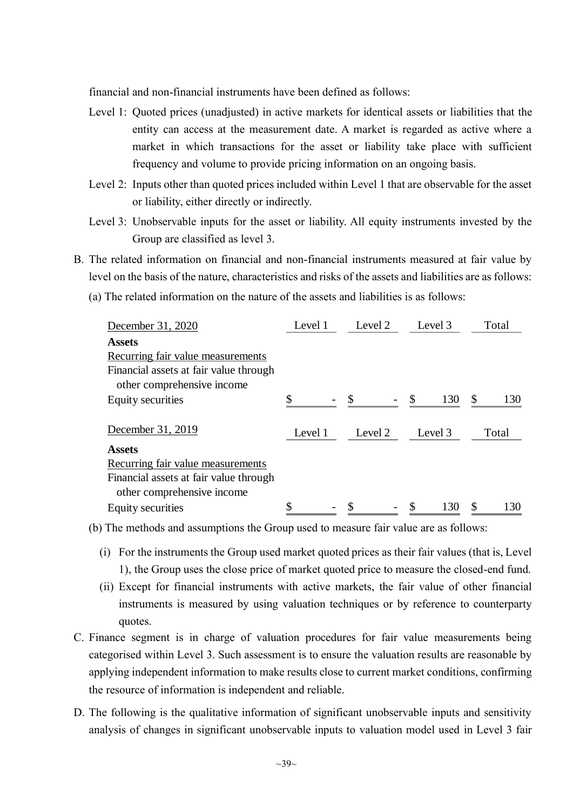financial and non-financial instruments have been defined as follows:

- Level 1: Quoted prices (unadjusted) in active markets for identical assets or liabilities that the entity can access at the measurement date. A market is regarded as active where a market in which transactions for the asset or liability take place with sufficient frequency and volume to provide pricing information on an ongoing basis.
- Level 2: Inputs other than quoted prices included within Level 1 that are observable for the asset or liability, either directly or indirectly.
- Level 3: Unobservable inputs for the asset or liability. All equity instruments invested by the Group are classified as level 3.
- B. The related information on financial and non-financial instruments measured at fair value by level on the basis of the nature, characteristics and risks of the assets and liabilities are as follows:
	- (a) The related information on the nature of the assets and liabilities is as follows:

| December 31, 2020                      | Level 1 | Level 2 | Level 3<br>Total |           |
|----------------------------------------|---------|---------|------------------|-----------|
| <b>Assets</b>                          |         |         |                  |           |
| Recurring fair value measurements      |         |         |                  |           |
| Financial assets at fair value through |         |         |                  |           |
| other comprehensive income             |         |         |                  |           |
| Equity securities                      | \$      |         | 130              | \$<br>130 |
| December 31, 2019                      | Level 1 | Level 2 | Level 3          | Total     |
| <b>Assets</b>                          |         |         |                  |           |
| Recurring fair value measurements      |         |         |                  |           |
| Financial assets at fair value through |         |         |                  |           |
| other comprehensive income             |         |         |                  |           |
| <b>Equity securities</b>               |         |         | 130              | \$<br>130 |

(b) The methods and assumptions the Group used to measure fair value are as follows:

- (i) For the instruments the Group used market quoted prices as their fair values (that is, Level 1), the Group uses the close price of market quoted price to measure the closed-end fund.
- (ii) Except for financial instruments with active markets, the fair value of other financial instruments is measured by using valuation techniques or by reference to counterparty quotes.
- C. Finance segment is in charge of valuation procedures for fair value measurements being categorised within Level 3. Such assessment is to ensure the valuation results are reasonable by applying independent information to make results close to current market conditions, confirming the resource of information is independent and reliable.
- D. The following is the qualitative information of significant unobservable inputs and sensitivity analysis of changes in significant unobservable inputs to valuation model used in Level 3 fair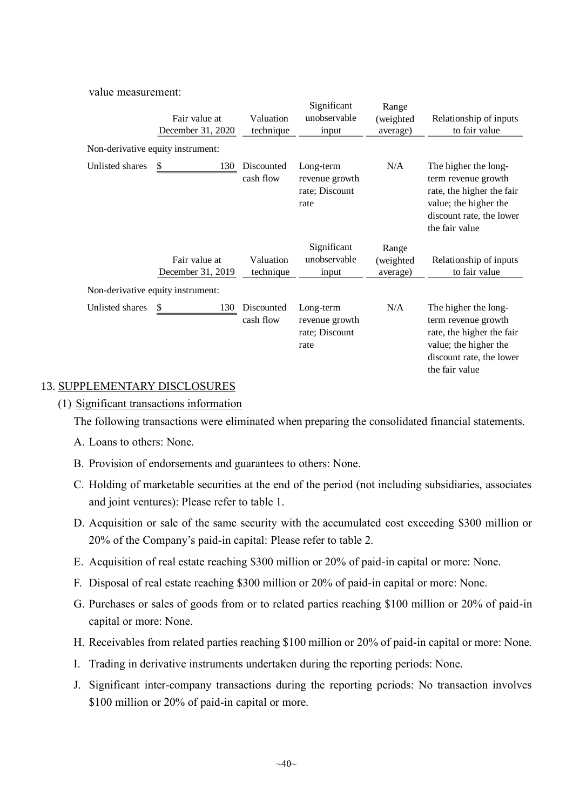|                 | Fair value at<br>December 31, 2020 | Valuation<br>technique  | Significant<br>unobservable<br>input                  | Range<br>(weighted<br>average) | Relationship of inputs<br>to fair value                                                                                                         |
|-----------------|------------------------------------|-------------------------|-------------------------------------------------------|--------------------------------|-------------------------------------------------------------------------------------------------------------------------------------------------|
|                 | Non-derivative equity instrument:  |                         |                                                       |                                |                                                                                                                                                 |
| Unlisted shares | 130<br>\$                          | Discounted<br>cash flow | Long-term<br>revenue growth<br>rate; Discount<br>rate | N/A                            | The higher the long-<br>term revenue growth<br>rate, the higher the fair<br>value; the higher the<br>discount rate, the lower<br>the fair value |
|                 | Fair value at<br>December 31, 2019 | Valuation<br>technique  | Significant<br>unobservable<br>input                  | Range<br>(weighted<br>average) | Relationship of inputs<br>to fair value                                                                                                         |
|                 | Non-derivative equity instrument:  |                         |                                                       |                                |                                                                                                                                                 |
| Unlisted shares | 130<br>\$                          | Discounted<br>cash flow | Long-term<br>revenue growth<br>rate; Discount<br>rate | N/A                            | The higher the long-<br>term revenue growth<br>rate, the higher the fair<br>value; the higher the<br>discount rate, the lower<br>the fair value |

### 13. SUPPLEMENTARY DISCLOSURES

value measurement:

(1) Significant transactions information

The following transactions were eliminated when preparing the consolidated financial statements.

- A. Loans to others: None.
- B. Provision of endorsements and guarantees to others: None.
- C. Holding of marketable securities at the end of the period (not including subsidiaries, associates and joint ventures): Please refer to table 1.
- D. Acquisition or sale of the same security with the accumulated cost exceeding \$300 million or 20% of the Company's paid-in capital: Please refer to table 2.
- E. Acquisition of real estate reaching \$300 million or 20% of paid-in capital or more: None.
- F. Disposal of real estate reaching \$300 million or 20% of paid-in capital or more: None.
- G. Purchases or sales of goods from or to related parties reaching \$100 million or 20% of paid-in capital or more: None.
- H. Receivables from related parties reaching \$100 million or 20% of paid-in capital or more: None.
- I. Trading in derivative instruments undertaken during the reporting periods: None.
- J. Significant inter-company transactions during the reporting periods: No transaction involves \$100 million or 20% of paid-in capital or more.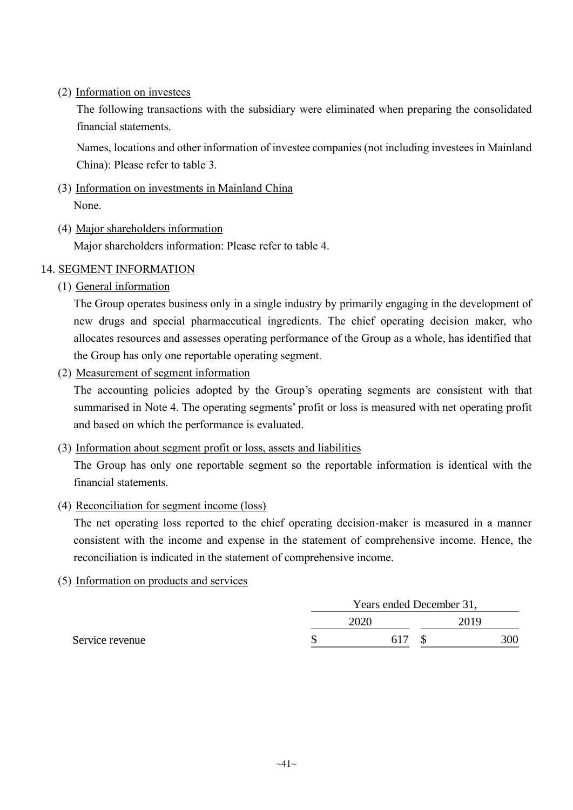#### (2) Information on investees

The following transactions with the subsidiary were eliminated when preparing the consolidated financial statements.

Names, locations and other information of investee companies (not including investees in Mainland China): Please refer to table 3.

- (3) Information on investments in Mainland China None.
- (4) Major shareholders information

Major shareholders information: Please refer to table 4.

#### 14. SEGMENT INFORMATION

(1) General information

The Group operates business only in a single industry by primarily engaging in the development of new drugs and special pharmaceutical ingredients. The chief operating decision maker, who allocates resources and assesses operating performance of the Group as a whole, has identified that the Group has only one reportable operating segment.

(2) Measurement of segment information

The accounting policies adopted by the Group's operating segments are consistent with that summarised in Note 4. The operating segments' profit or loss is measured with net operating profit and based on which the performance is evaluated.

(3) Information about segment profit or loss, assets and liabilities

The Group has only one reportable segment so the reportable information is identical with the financial statements.

(4) Reconciliation for segment income (loss)

The net operating loss reported to the chief operating decision-maker is measured in a manner consistent with the income and expense in the statement of comprehensive income. Hence, the reconciliation is indicated in the statement of comprehensive income.

(5) Information on products and services

|                 | Years ended December 31, |      |  |      |  |  |
|-----------------|--------------------------|------|--|------|--|--|
|                 |                          | റ∩റ∩ |  | 2019 |  |  |
| Service revenue | ιIJ                      |      |  | 300  |  |  |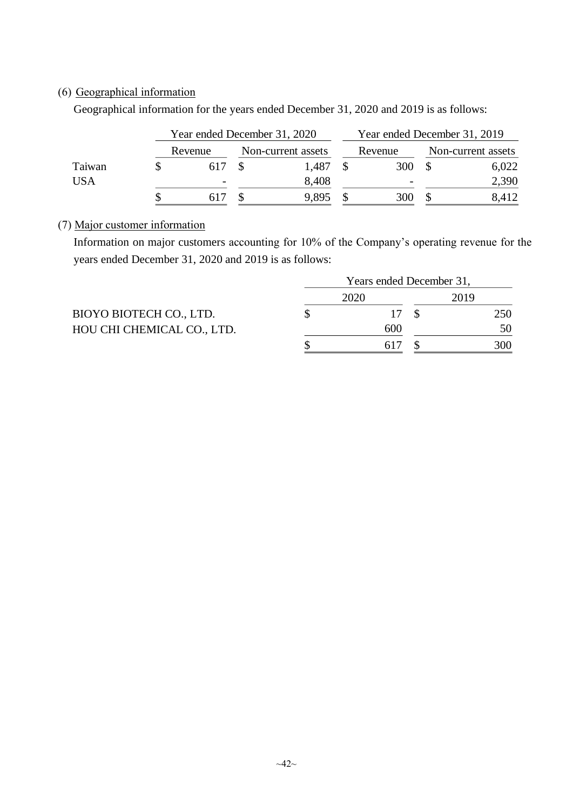## (6) Geographical information

Geographical information for the years ended December 31, 2020 and 2019 is as follows:

|            | Year ended December 31, 2020 |                    | Year ended December 31, 2019 |                          |  |                    |  |
|------------|------------------------------|--------------------|------------------------------|--------------------------|--|--------------------|--|
|            | Revenue                      | Non-current assets |                              | Revenue                  |  | Non-current assets |  |
| Taiwan     | 617                          | 1,487              |                              | 300                      |  | 6,022              |  |
| <b>USA</b> | $\overline{\phantom{0}}$     | 8,408              |                              | $\overline{\phantom{0}}$ |  | 2,390              |  |
|            | 617                          | 9.895              |                              | 300                      |  | 8.412              |  |

### (7) Major customer information

Information on major customers accounting for 10% of the Company's operating revenue for the years ended December 31, 2020 and 2019 is as follows:

|                            | Years ended December 31, |      |  |      |  |  |
|----------------------------|--------------------------|------|--|------|--|--|
|                            |                          | 2020 |  | 2019 |  |  |
| BIOYO BIOTECH CO., LTD.    |                          |      |  | 250  |  |  |
| HOU CHI CHEMICAL CO., LTD. |                          | 600  |  | 50   |  |  |
|                            |                          | 617  |  | 300  |  |  |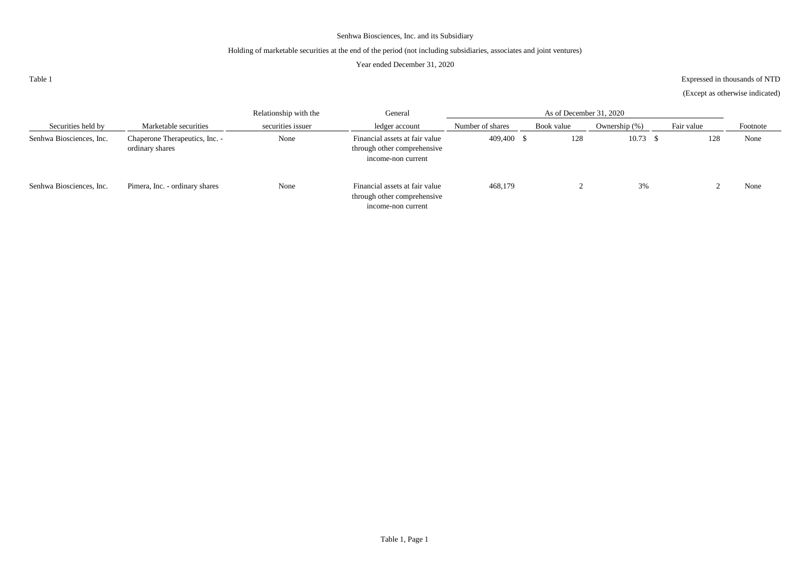#### Senhwa Biosciences, Inc. and its Subsidiary

#### Holding of marketable securities at the end of the period (not including subsidiaries, associates and joint ventures)

#### Year ended December 31, 2020

Table 1

Expressed in thousands of NTD

(Except as otherwise indicated)

|                          |                                                   | Relationship with the | General                                                                             |                  |            |                  |            |          |
|--------------------------|---------------------------------------------------|-----------------------|-------------------------------------------------------------------------------------|------------------|------------|------------------|------------|----------|
| Securities held by       | Marketable securities                             | securities issuer     | ledger account                                                                      | Number of shares | Book value | Ownership $(\%)$ | Fair value | Footnote |
| Senhwa Biosciences, Inc. | Chaperone Therapeutics, Inc. -<br>ordinary shares | None                  | Financial assets at fair value<br>through other comprehensive<br>income-non current | 409.400 \$       | 128        | $10.73$ \$       | 128        | None     |
| Senhwa Biosciences, Inc. | Pimera, Inc. - ordinary shares                    | None                  | Financial assets at fair value<br>through other comprehensive<br>income-non current | 468,179          |            | 3%               |            | None     |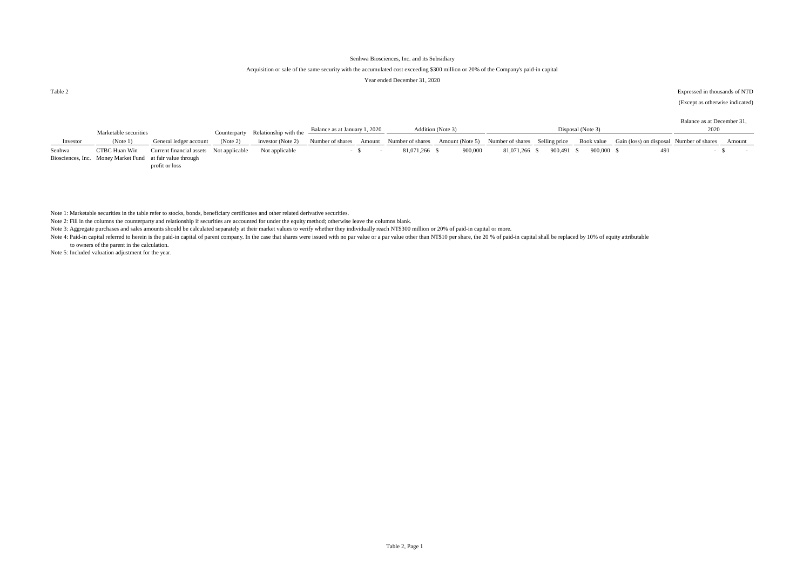#### Senhwa Biosciences, Inc. and its Subsidiary

#### Acquisition or sale of the same security with the accumulated cost exceeding \$300 million or 20% of the Company's paid-in capital

#### Year ended December 31, 2020

Table 2 Expressed in thousands of NTD

(Except as otherwise indicated)

|          |                                                           |                                         |          |                                                                                                           |               |               |                                                                                         |               |            |                   |                                                     | Balance as at December 31, |        |
|----------|-----------------------------------------------------------|-----------------------------------------|----------|-----------------------------------------------------------------------------------------------------------|---------------|---------------|-----------------------------------------------------------------------------------------|---------------|------------|-------------------|-----------------------------------------------------|----------------------------|--------|
|          | Marketable securities                                     |                                         |          | Counterparty Relationship with the $\frac{\text{Balance as at January 1, 2020}}{\text{Mean of the year}}$ |               |               | Addition (Note 3)                                                                       |               |            | Disposal (Note 3) |                                                     | 2020                       |        |
| Investor | (Note 1)                                                  | General ledger account                  | (Note 2) | investor (Note 2)                                                                                         |               |               | Number of shares Amount Number of shares Amount (Note 5) Number of shares Selling price |               |            |                   | Book value Gain (loss) on disposal Number of shares |                            | Amount |
| Senhwa   | CTBC Huan Win                                             | Current financial assets Not applicable |          | Not applicable                                                                                            | $\sim$ $\sim$ | 81.071.266 \$ | 900,000                                                                                 | 81,071,266 \$ | 900.491 \$ | 900.000           |                                                     |                            |        |
|          | Biosciences, Inc. Money Market Fund at fair value through |                                         |          |                                                                                                           |               |               |                                                                                         |               |            |                   |                                                     |                            |        |
|          |                                                           | profit or loss                          |          |                                                                                                           |               |               |                                                                                         |               |            |                   |                                                     |                            |        |

Note 1: Marketable securities in the table refer to stocks, bonds, beneficiary certificates and other related derivative securities.

Note 2: Fill in the columns the counterparty and relationship if securities are accounted for under the equity method; otherwise leave the columns blank.

Note 3: Aggregate purchases and sales amounts should be calculated separately at their market values to verify whether they individually reach NT\$300 million or 20% of paid-in capital or more.

Note 4: Paid-in capital referred to herein is the paid-in capital of parent company. In the case that shares were issued with no par value or a par value other than NT\$10 per share, the 20 % of paid-in capital shall be rep

to owners of the parent in the calculation.

Note 5: Included valuation adjustment for the year.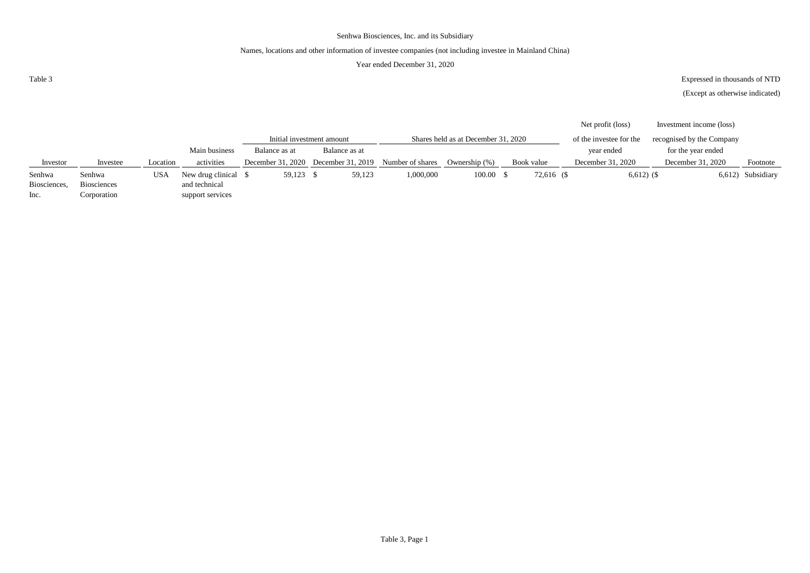#### Senhwa Biosciences, Inc. and its Subsidiary

#### Names, locations and other information of investee companies (not including investee in Mainland China)

#### Year ended December 31, 2020

Expressed in thousands of NTD

(Except as otherwise indicated)

|              |                    |          |                      |               |                                     |                  |                                     |            | Net profit (loss)       | Investment income (loss)  |                   |
|--------------|--------------------|----------|----------------------|---------------|-------------------------------------|------------------|-------------------------------------|------------|-------------------------|---------------------------|-------------------|
|              |                    |          |                      |               | Initial investment amount           |                  | Shares held as at December 31, 2020 |            | of the investee for the | recognised by the Company |                   |
|              |                    |          | Main business        | Balance as at | Balance as at                       |                  |                                     |            | year ended              | for the year ended        |                   |
| Investor     | Investee           | Location | activities           |               | December 31, 2020 December 31, 2019 | Number of shares | Ownership $(\%)$                    | Book value | December 31, 2020       | December 31, 2020         | Footnote          |
| Senhwa       | Senhwa             | USA      | New drug clinical \$ | 59,123 \$     | 59,123                              | 1,000,000        | 100.00                              | 72,616 (\$ | $6,612$ (\$)            |                           | 6,612) Subsidiary |
| Biosciences, | <b>Biosciences</b> |          | and technical        |               |                                     |                  |                                     |            |                         |                           |                   |
| Inc.         | Corporation        |          | support services     |               |                                     |                  |                                     |            |                         |                           |                   |